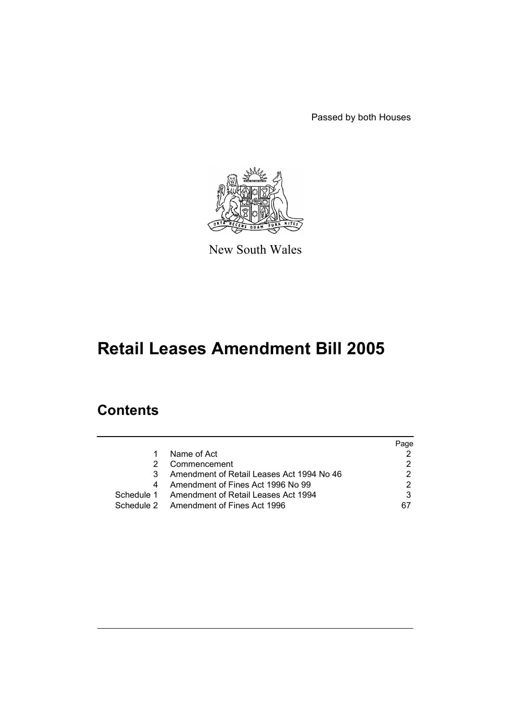Passed by both Houses



New South Wales

# **Retail Leases Amendment Bill 2005**

# **Contents**

|   |                                                | Page |
|---|------------------------------------------------|------|
| 1 | Name of Act                                    |      |
| 2 | Commencement                                   |      |
| 3 | Amendment of Retail Leases Act 1994 No 46      |      |
| 4 | Amendment of Fines Act 1996 No 99              |      |
|   | Schedule 1 Amendment of Retail Leases Act 1994 |      |
|   | Schedule 2 Amendment of Fines Act 1996         | 67   |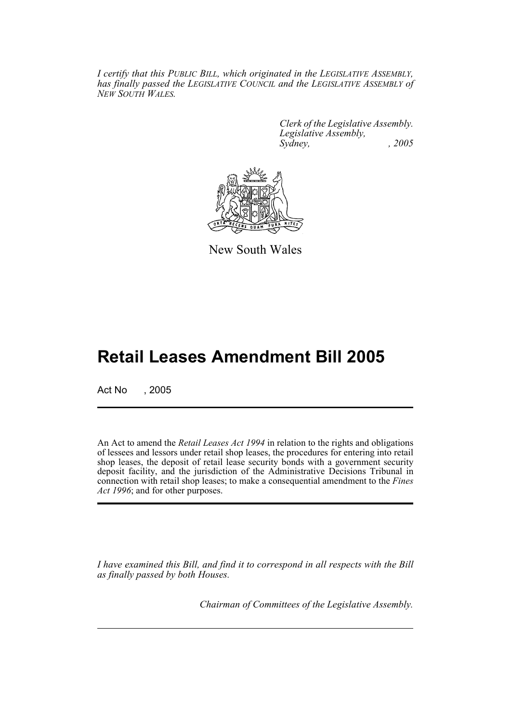*I certify that this PUBLIC BILL, which originated in the LEGISLATIVE ASSEMBLY, has finally passed the LEGISLATIVE COUNCIL and the LEGISLATIVE ASSEMBLY of NEW SOUTH WALES.*

> *Clerk of the Legislative Assembly. Legislative Assembly, Sydney, , 2005*



New South Wales

# **Retail Leases Amendment Bill 2005**

Act No , 2005

An Act to amend the *Retail Leases Act 1994* in relation to the rights and obligations of lessees and lessors under retail shop leases, the procedures for entering into retail shop leases, the deposit of retail lease security bonds with a government security deposit facility, and the jurisdiction of the Administrative Decisions Tribunal in connection with retail shop leases; to make a consequential amendment to the *Fines Act 1996*; and for other purposes.

*I have examined this Bill, and find it to correspond in all respects with the Bill as finally passed by both Houses.*

*Chairman of Committees of the Legislative Assembly.*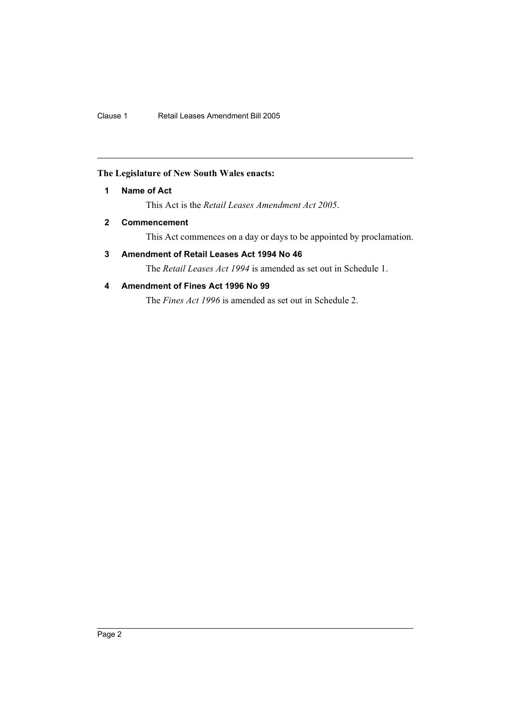## **The Legislature of New South Wales enacts:**

## **1 Name of Act**

This Act is the *Retail Leases Amendment Act 2005*.

## **2 Commencement**

This Act commences on a day or days to be appointed by proclamation.

## **3 Amendment of Retail Leases Act 1994 No 46**

The *Retail Leases Act 1994* is amended as set out in Schedule 1.

## **4 Amendment of Fines Act 1996 No 99**

The *Fines Act 1996* is amended as set out in Schedule 2.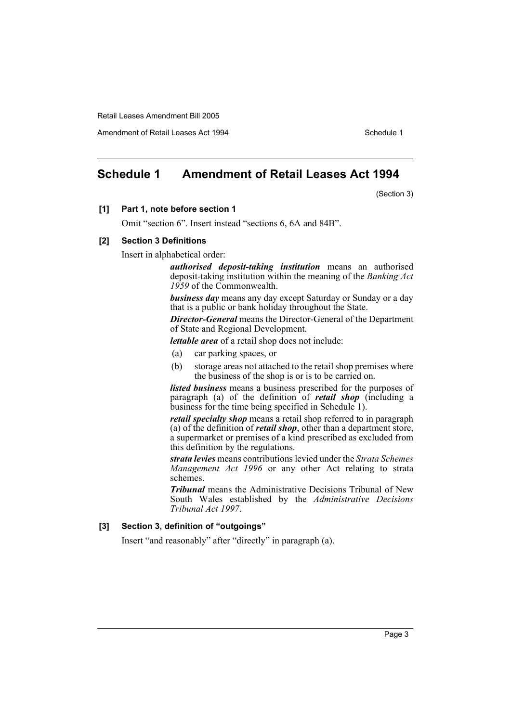Amendment of Retail Leases Act 1994 Schedule 1

## **Schedule 1 Amendment of Retail Leases Act 1994**

(Section 3)

#### **[1] Part 1, note before section 1**

Omit "section 6". Insert instead "sections 6, 6A and 84B".

#### **[2] Section 3 Definitions**

Insert in alphabetical order:

*authorised deposit-taking institution* means an authorised deposit-taking institution within the meaning of the *Banking Act 1959* of the Commonwealth.

*business day* means any day except Saturday or Sunday or a day that is a public or bank holiday throughout the State.

*Director-General* means the Director-General of the Department of State and Regional Development.

*lettable area* of a retail shop does not include:

- (a) car parking spaces, or
- (b) storage areas not attached to the retail shop premises where the business of the shop is or is to be carried on.

*listed business* means a business prescribed for the purposes of paragraph (a) of the definition of *retail shop* (including a business for the time being specified in Schedule 1).

*retail specialty shop* means a retail shop referred to in paragraph (a) of the definition of *retail shop*, other than a department store, a supermarket or premises of a kind prescribed as excluded from this definition by the regulations.

*strata levies* means contributions levied under the *Strata Schemes Management Act 1996* or any other Act relating to strata schemes.

*Tribunal* means the Administrative Decisions Tribunal of New South Wales established by the *Administrative Decisions Tribunal Act 1997*.

#### **[3] Section 3, definition of "outgoings"**

Insert "and reasonably" after "directly" in paragraph (a).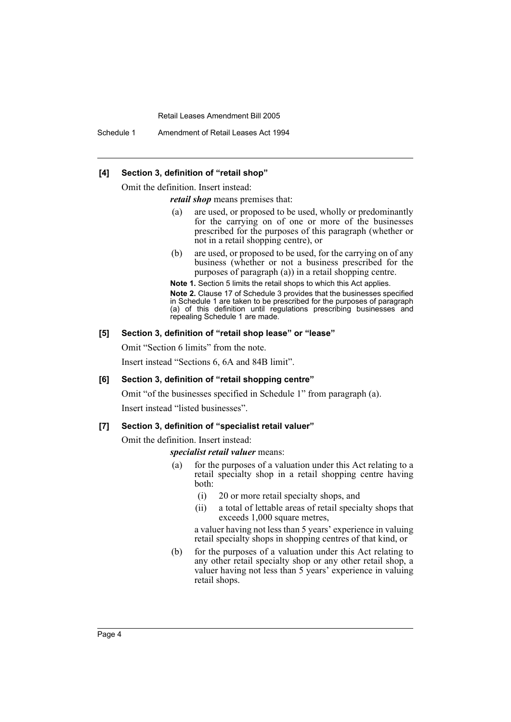Schedule 1 Amendment of Retail Leases Act 1994

#### **[4] Section 3, definition of "retail shop"**

Omit the definition. Insert instead:

*retail shop* means premises that:

- (a) are used, or proposed to be used, wholly or predominantly for the carrying on of one or more of the businesses prescribed for the purposes of this paragraph (whether or not in a retail shopping centre), or
- (b) are used, or proposed to be used, for the carrying on of any business (whether or not a business prescribed for the purposes of paragraph (a)) in a retail shopping centre.

**Note 1.** Section 5 limits the retail shops to which this Act applies.

**Note 2.** Clause 17 of Schedule 3 provides that the businesses specified in Schedule 1 are taken to be prescribed for the purposes of paragraph (a) of this definition until regulations prescribing businesses and repealing Schedule 1 are made.

## **[5] Section 3, definition of "retail shop lease" or "lease"**

Omit "Section 6 limits" from the note.

Insert instead "Sections 6, 6A and 84B limit".

#### **[6] Section 3, definition of "retail shopping centre"**

Omit "of the businesses specified in Schedule 1" from paragraph (a).

Insert instead "listed businesses".

#### **[7] Section 3, definition of "specialist retail valuer"**

Omit the definition. Insert instead:

#### *specialist retail valuer* means:

- (a) for the purposes of a valuation under this Act relating to a retail specialty shop in a retail shopping centre having both:
	- (i) 20 or more retail specialty shops, and
	- (ii) a total of lettable areas of retail specialty shops that exceeds 1,000 square metres,

a valuer having not less than 5 years' experience in valuing retail specialty shops in shopping centres of that kind, or

(b) for the purposes of a valuation under this Act relating to any other retail specialty shop or any other retail shop, a valuer having not less than 5 years' experience in valuing retail shops.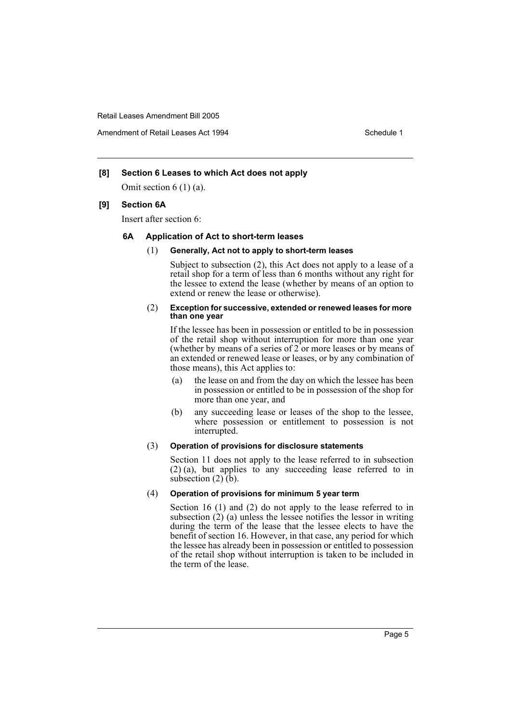Amendment of Retail Leases Act 1994 Schedule 1

## **[8] Section 6 Leases to which Act does not apply**

Omit section 6 (1) (a).

#### **[9] Section 6A**

Insert after section 6:

#### **6A Application of Act to short-term leases**

#### (1) **Generally, Act not to apply to short-term leases**

Subject to subsection (2), this Act does not apply to a lease of a retail shop for a term of less than 6 months without any right for the lessee to extend the lease (whether by means of an option to extend or renew the lease or otherwise).

#### (2) **Exception for successive, extended or renewed leases for more than one year**

If the lessee has been in possession or entitled to be in possession of the retail shop without interruption for more than one year (whether by means of a series of 2 or more leases or by means of an extended or renewed lease or leases, or by any combination of those means), this Act applies to:

- (a) the lease on and from the day on which the lessee has been in possession or entitled to be in possession of the shop for more than one year, and
- (b) any succeeding lease or leases of the shop to the lessee, where possession or entitlement to possession is not interrupted.

#### (3) **Operation of provisions for disclosure statements**

Section 11 does not apply to the lease referred to in subsection (2) (a), but applies to any succeeding lease referred to in subsection (2) (b).

#### (4) **Operation of provisions for minimum 5 year term**

Section 16 (1) and (2) do not apply to the lease referred to in subsection (2) (a) unless the lessee notifies the lessor in writing during the term of the lease that the lessee elects to have the benefit of section 16. However, in that case, any period for which the lessee has already been in possession or entitled to possession of the retail shop without interruption is taken to be included in the term of the lease.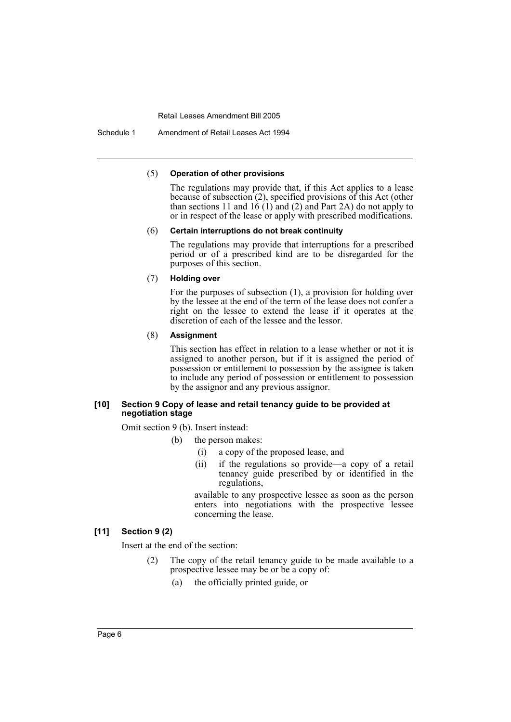Schedule 1 Amendment of Retail Leases Act 1994

#### (5) **Operation of other provisions**

The regulations may provide that, if this Act applies to a lease because of subsection (2), specified provisions of this Act (other than sections 11 and 16 (1) and (2) and Part 2A) do not apply to or in respect of the lease or apply with prescribed modifications.

#### (6) **Certain interruptions do not break continuity**

The regulations may provide that interruptions for a prescribed period or of a prescribed kind are to be disregarded for the purposes of this section.

#### (7) **Holding over**

For the purposes of subsection (1), a provision for holding over by the lessee at the end of the term of the lease does not confer a right on the lessee to extend the lease if it operates at the discretion of each of the lessee and the lessor.

#### (8) **Assignment**

This section has effect in relation to a lease whether or not it is assigned to another person, but if it is assigned the period of possession or entitlement to possession by the assignee is taken to include any period of possession or entitlement to possession by the assignor and any previous assignor.

#### **[10] Section 9 Copy of lease and retail tenancy guide to be provided at negotiation stage**

Omit section 9 (b). Insert instead:

- (b) the person makes:
	- (i) a copy of the proposed lease, and
	- (ii) if the regulations so provide—a copy of a retail tenancy guide prescribed by or identified in the regulations,

available to any prospective lessee as soon as the person enters into negotiations with the prospective lessee concerning the lease.

## **[11] Section 9 (2)**

Insert at the end of the section:

- (2) The copy of the retail tenancy guide to be made available to a prospective lessee may be or be a copy of:
	- (a) the officially printed guide, or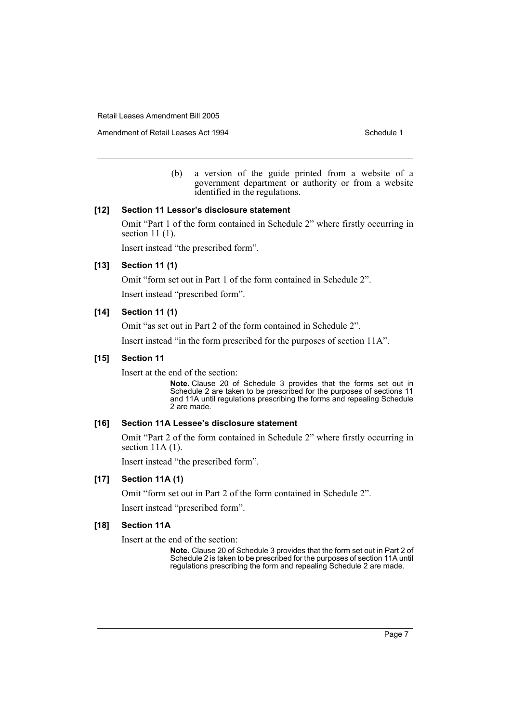Amendment of Retail Leases Act 1994 Schedule 1

(b) a version of the guide printed from a website of a government department or authority or from a website identified in the regulations.

#### **[12] Section 11 Lessor's disclosure statement**

Omit "Part 1 of the form contained in Schedule 2" where firstly occurring in section 11 (1).

Insert instead "the prescribed form".

## **[13] Section 11 (1)**

Omit "form set out in Part 1 of the form contained in Schedule 2".

Insert instead "prescribed form".

#### **[14] Section 11 (1)**

Omit "as set out in Part 2 of the form contained in Schedule 2".

Insert instead "in the form prescribed for the purposes of section 11A".

#### **[15] Section 11**

Insert at the end of the section:

**Note.** Clause 20 of Schedule 3 provides that the forms set out in Schedule 2 are taken to be prescribed for the purposes of sections 11 and 11A until regulations prescribing the forms and repealing Schedule 2 are made.

#### **[16] Section 11A Lessee's disclosure statement**

Omit "Part 2 of the form contained in Schedule 2" where firstly occurring in section 11A (1).

Insert instead "the prescribed form".

## **[17] Section 11A (1)**

Omit "form set out in Part 2 of the form contained in Schedule 2".

Insert instead "prescribed form".

## **[18] Section 11A**

Insert at the end of the section:

**Note.** Clause 20 of Schedule 3 provides that the form set out in Part 2 of Schedule 2 is taken to be prescribed for the purposes of section 11A until regulations prescribing the form and repealing Schedule 2 are made.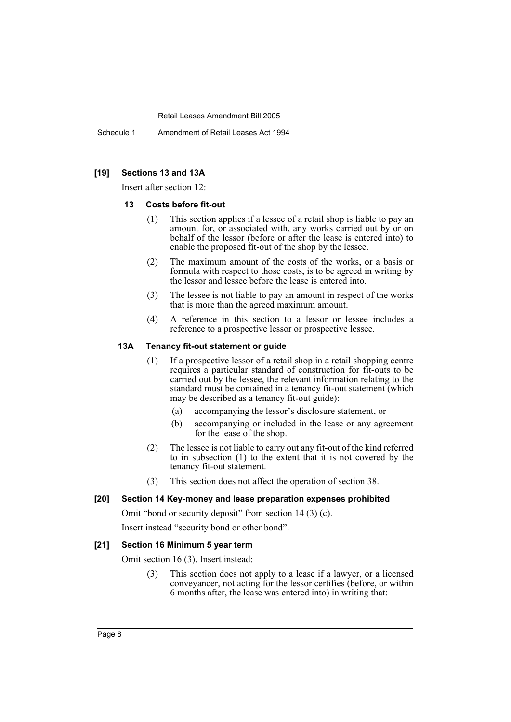Schedule 1 Amendment of Retail Leases Act 1994

## **[19] Sections 13 and 13A**

Insert after section 12:

#### **13 Costs before fit-out**

- (1) This section applies if a lessee of a retail shop is liable to pay an amount for, or associated with, any works carried out by or on behalf of the lessor (before or after the lease is entered into) to enable the proposed fit-out of the shop by the lessee.
- (2) The maximum amount of the costs of the works, or a basis or formula with respect to those costs, is to be agreed in writing by the lessor and lessee before the lease is entered into.
- (3) The lessee is not liable to pay an amount in respect of the works that is more than the agreed maximum amount.
- (4) A reference in this section to a lessor or lessee includes a reference to a prospective lessor or prospective lessee.

#### **13A Tenancy fit-out statement or guide**

- (1) If a prospective lessor of a retail shop in a retail shopping centre requires a particular standard of construction for fit-outs to be carried out by the lessee, the relevant information relating to the standard must be contained in a tenancy fit-out statement (which may be described as a tenancy fit-out guide):
	- (a) accompanying the lessor's disclosure statement, or
	- (b) accompanying or included in the lease or any agreement for the lease of the shop.
- (2) The lessee is not liable to carry out any fit-out of the kind referred to in subsection (1) to the extent that it is not covered by the tenancy fit-out statement.
- (3) This section does not affect the operation of section 38.

## **[20] Section 14 Key-money and lease preparation expenses prohibited**

Omit "bond or security deposit" from section 14 (3) (c).

Insert instead "security bond or other bond".

## **[21] Section 16 Minimum 5 year term**

Omit section 16 (3). Insert instead:

(3) This section does not apply to a lease if a lawyer, or a licensed conveyancer, not acting for the lessor certifies (before, or within 6 months after, the lease was entered into) in writing that: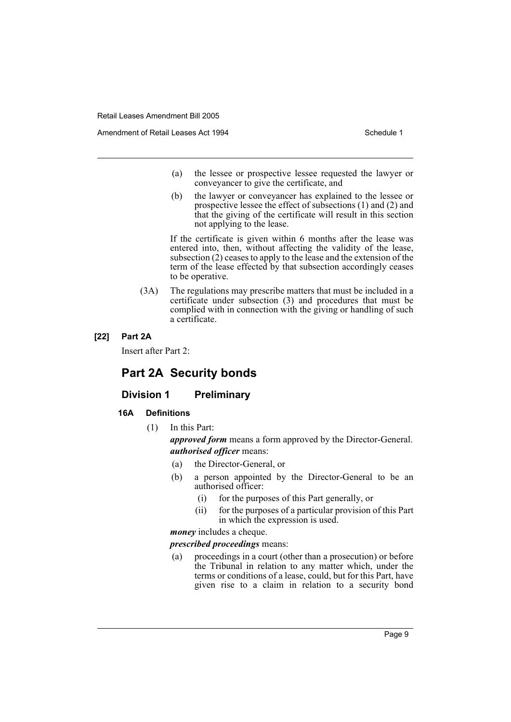- (a) the lessee or prospective lessee requested the lawyer or conveyancer to give the certificate, and
- (b) the lawyer or conveyancer has explained to the lessee or prospective lessee the effect of subsections (1) and (2) and that the giving of the certificate will result in this section not applying to the lease.

If the certificate is given within 6 months after the lease was entered into, then, without affecting the validity of the lease, subsection (2) ceases to apply to the lease and the extension of the term of the lease effected by that subsection accordingly ceases to be operative.

(3A) The regulations may prescribe matters that must be included in a certificate under subsection (3) and procedures that must be complied with in connection with the giving or handling of such a certificate.

#### **[22] Part 2A**

Insert after Part 2:

# **Part 2A Security bonds**

## **Division 1 Preliminary**

## **16A Definitions**

(1) In this Part:

*approved form* means a form approved by the Director-General. *authorised officer* means:

- (a) the Director-General, or
- (b) a person appointed by the Director-General to be an authorised officer:
	- (i) for the purposes of this Part generally, or
	- (ii) for the purposes of a particular provision of this Part in which the expression is used.

*money* includes a cheque.

## *prescribed proceedings* means:

(a) proceedings in a court (other than a prosecution) or before the Tribunal in relation to any matter which, under the terms or conditions of a lease, could, but for this Part, have given rise to a claim in relation to a security bond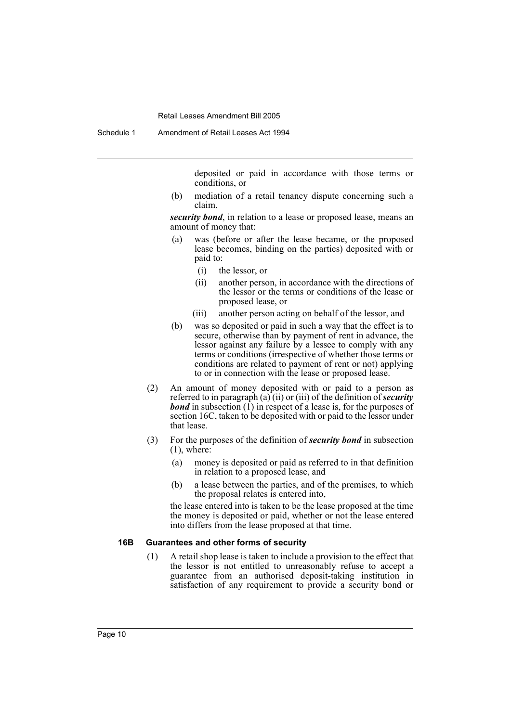deposited or paid in accordance with those terms or conditions, or

(b) mediation of a retail tenancy dispute concerning such a claim.

*security bond*, in relation to a lease or proposed lease, means an amount of money that:

- (a) was (before or after the lease became, or the proposed lease becomes, binding on the parties) deposited with or paid to:
	- (i) the lessor, or
	- (ii) another person, in accordance with the directions of the lessor or the terms or conditions of the lease or proposed lease, or
	- (iii) another person acting on behalf of the lessor, and
- (b) was so deposited or paid in such a way that the effect is to secure, otherwise than by payment of rent in advance, the lessor against any failure by a lessee to comply with any terms or conditions (irrespective of whether those terms or conditions are related to payment of rent or not) applying to or in connection with the lease or proposed lease.
- (2) An amount of money deposited with or paid to a person as referred to in paragraph (a) (ii) or (iii) of the definition of *security bond* in subsection (1) in respect of a lease is, for the purposes of section 16C, taken to be deposited with or paid to the lessor under that lease.
- (3) For the purposes of the definition of *security bond* in subsection  $(1)$ , where:
	- (a) money is deposited or paid as referred to in that definition in relation to a proposed lease, and
	- (b) a lease between the parties, and of the premises, to which the proposal relates is entered into,

the lease entered into is taken to be the lease proposed at the time the money is deposited or paid, whether or not the lease entered into differs from the lease proposed at that time.

#### **16B Guarantees and other forms of security**

(1) A retail shop lease is taken to include a provision to the effect that the lessor is not entitled to unreasonably refuse to accept a guarantee from an authorised deposit-taking institution in satisfaction of any requirement to provide a security bond or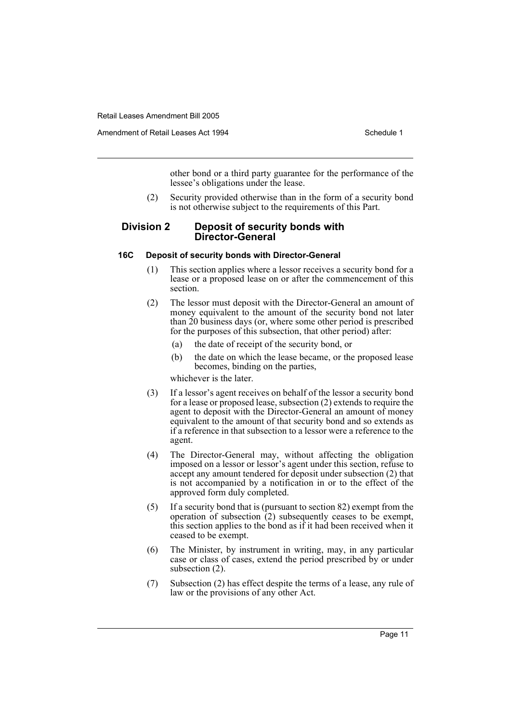Amendment of Retail Leases Act 1994 Schedule 1

other bond or a third party guarantee for the performance of the lessee's obligations under the lease.

(2) Security provided otherwise than in the form of a security bond is not otherwise subject to the requirements of this Part.

## **Division 2 Deposit of security bonds with Director-General**

#### **16C Deposit of security bonds with Director-General**

- (1) This section applies where a lessor receives a security bond for a lease or a proposed lease on or after the commencement of this section.
- (2) The lessor must deposit with the Director-General an amount of money equivalent to the amount of the security bond not later than 20 business days (or, where some other period is prescribed for the purposes of this subsection, that other period) after:
	- (a) the date of receipt of the security bond, or
	- (b) the date on which the lease became, or the proposed lease becomes, binding on the parties,

whichever is the later.

- (3) If a lessor's agent receives on behalf of the lessor a security bond for a lease or proposed lease, subsection (2) extends to require the agent to deposit with the Director-General an amount of money equivalent to the amount of that security bond and so extends as if a reference in that subsection to a lessor were a reference to the agent.
- (4) The Director-General may, without affecting the obligation imposed on a lessor or lessor's agent under this section, refuse to accept any amount tendered for deposit under subsection (2) that is not accompanied by a notification in or to the effect of the approved form duly completed.
- (5) If a security bond that is (pursuant to section 82) exempt from the operation of subsection  $(2)$  subsequently ceases to be exempt, this section applies to the bond as if it had been received when it ceased to be exempt.
- (6) The Minister, by instrument in writing, may, in any particular case or class of cases, extend the period prescribed by or under subsection (2).
- (7) Subsection (2) has effect despite the terms of a lease, any rule of law or the provisions of any other Act.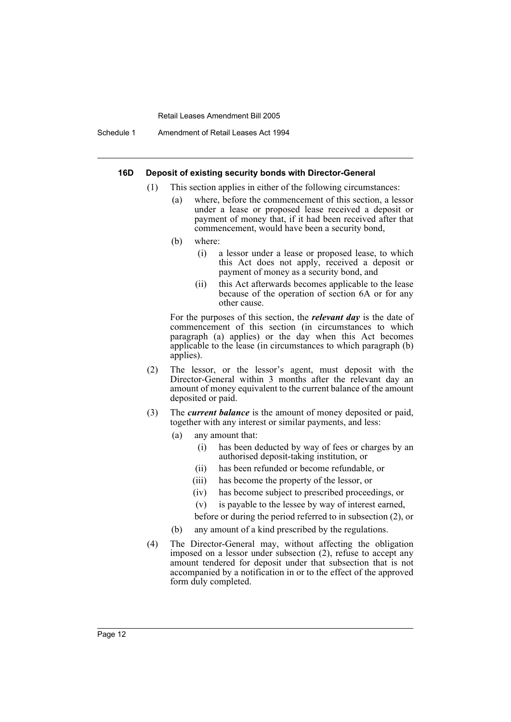Schedule 1 Amendment of Retail Leases Act 1994

#### **16D Deposit of existing security bonds with Director-General**

- (1) This section applies in either of the following circumstances:
	- (a) where, before the commencement of this section, a lessor under a lease or proposed lease received a deposit or payment of money that, if it had been received after that commencement, would have been a security bond,
	- (b) where:
		- (i) a lessor under a lease or proposed lease, to which this Act does not apply, received a deposit or payment of money as a security bond, and
		- (ii) this Act afterwards becomes applicable to the lease because of the operation of section 6A or for any other cause.

For the purposes of this section, the *relevant day* is the date of commencement of this section (in circumstances to which paragraph (a) applies) or the day when this Act becomes applicable to the lease (in circumstances to which paragraph (b) applies).

- (2) The lessor, or the lessor's agent, must deposit with the Director-General within 3 months after the relevant day an amount of money equivalent to the current balance of the amount deposited or paid.
- (3) The *current balance* is the amount of money deposited or paid, together with any interest or similar payments, and less:
	- (a) any amount that:
		- (i) has been deducted by way of fees or charges by an authorised deposit-taking institution, or
		- (ii) has been refunded or become refundable, or
		- (iii) has become the property of the lessor, or
		- (iv) has become subject to prescribed proceedings, or
		- (v) is payable to the lessee by way of interest earned,

before or during the period referred to in subsection (2), or

- (b) any amount of a kind prescribed by the regulations.
- (4) The Director-General may, without affecting the obligation imposed on a lessor under subsection (2), refuse to accept any amount tendered for deposit under that subsection that is not accompanied by a notification in or to the effect of the approved form duly completed.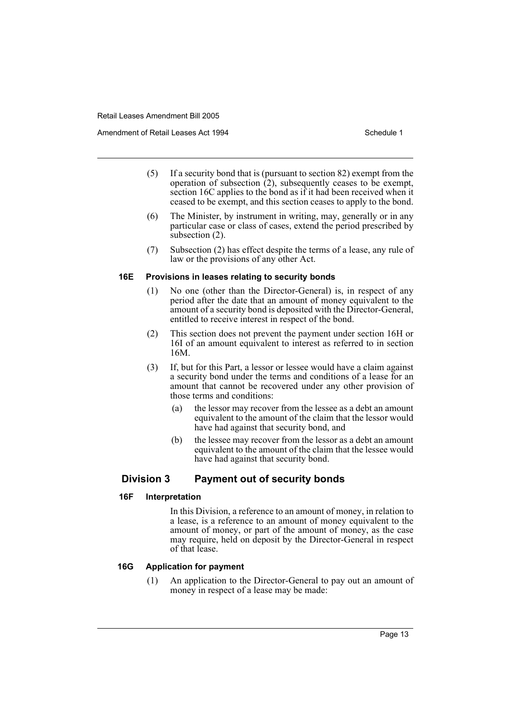- (5) If a security bond that is (pursuant to section 82) exempt from the operation of subsection  $\tilde{c}$ ), subsequently ceases to be exempt, section 16C applies to the bond as if it had been received when it ceased to be exempt, and this section ceases to apply to the bond.
- (6) The Minister, by instrument in writing, may, generally or in any particular case or class of cases, extend the period prescribed by subsection (2).
- (7) Subsection (2) has effect despite the terms of a lease, any rule of law or the provisions of any other Act.

#### **16E Provisions in leases relating to security bonds**

- (1) No one (other than the Director-General) is, in respect of any period after the date that an amount of money equivalent to the amount of a security bond is deposited with the Director-General, entitled to receive interest in respect of the bond.
- (2) This section does not prevent the payment under section 16H or 16I of an amount equivalent to interest as referred to in section 16M.
- (3) If, but for this Part, a lessor or lessee would have a claim against a security bond under the terms and conditions of a lease for an amount that cannot be recovered under any other provision of those terms and conditions:
	- (a) the lessor may recover from the lessee as a debt an amount equivalent to the amount of the claim that the lessor would have had against that security bond, and
	- (b) the lessee may recover from the lessor as a debt an amount equivalent to the amount of the claim that the lessee would have had against that security bond.

## **Division 3 Payment out of security bonds**

#### **16F Interpretation**

In this Division, a reference to an amount of money, in relation to a lease, is a reference to an amount of money equivalent to the amount of money, or part of the amount of money, as the case may require, held on deposit by the Director-General in respect of that lease.

#### **16G Application for payment**

(1) An application to the Director-General to pay out an amount of money in respect of a lease may be made: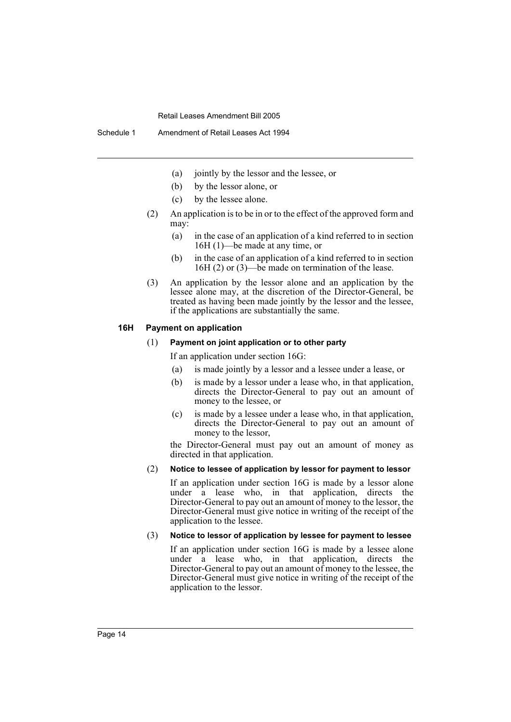- (a) jointly by the lessor and the lessee, or
- (b) by the lessor alone, or
- (c) by the lessee alone.
- (2) An application is to be in or to the effect of the approved form and may:
	- (a) in the case of an application of a kind referred to in section 16H (1)—be made at any time, or
	- (b) in the case of an application of a kind referred to in section 16H (2) or (3)—be made on termination of the lease.
- (3) An application by the lessor alone and an application by the lessee alone may, at the discretion of the Director-General, be treated as having been made jointly by the lessor and the lessee, if the applications are substantially the same.

#### **16H Payment on application**

#### (1) **Payment on joint application or to other party**

If an application under section 16G:

- (a) is made jointly by a lessor and a lessee under a lease, or
- (b) is made by a lessor under a lease who, in that application, directs the Director-General to pay out an amount of money to the lessee, or
- (c) is made by a lessee under a lease who, in that application, directs the Director-General to pay out an amount of money to the lessor,

the Director-General must pay out an amount of money as directed in that application.

#### (2) **Notice to lessee of application by lessor for payment to lessor**

If an application under section 16G is made by a lessor alone under a lease who, in that application, directs the Director-General to pay out an amount of money to the lessor, the Director-General must give notice in writing of the receipt of the application to the lessee.

## (3) **Notice to lessor of application by lessee for payment to lessee**

If an application under section 16G is made by a lessee alone under  $\overrightarrow{a}$  lease who, in that application, directs the Director-General to pay out an amount of money to the lessee, the Director-General must give notice in writing of the receipt of the application to the lessor.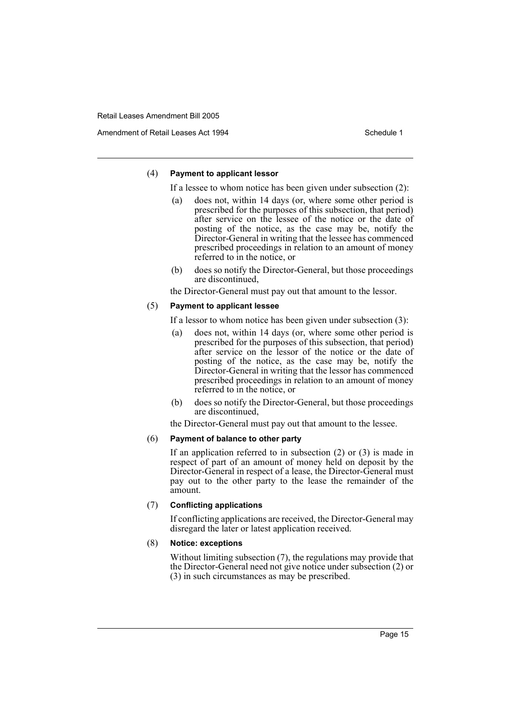Amendment of Retail Leases Act 1994 Schedule 1

#### (4) **Payment to applicant lessor**

If a lessee to whom notice has been given under subsection (2):

- (a) does not, within 14 days (or, where some other period is prescribed for the purposes of this subsection, that period) after service on the lessee of the notice or the date of posting of the notice, as the case may be, notify the Director-General in writing that the lessee has commenced prescribed proceedings in relation to an amount of money referred to in the notice, or
- (b) does so notify the Director-General, but those proceedings are discontinued,

the Director-General must pay out that amount to the lessor.

#### (5) **Payment to applicant lessee**

If a lessor to whom notice has been given under subsection (3):

- (a) does not, within 14 days (or, where some other period is prescribed for the purposes of this subsection, that period) after service on the lessor of the notice or the date of posting of the notice, as the case may be, notify the Director-General in writing that the lessor has commenced prescribed proceedings in relation to an amount of money referred to in the notice, or
- (b) does so notify the Director-General, but those proceedings are discontinued,

the Director-General must pay out that amount to the lessee.

#### (6) **Payment of balance to other party**

If an application referred to in subsection (2) or (3) is made in respect of part of an amount of money held on deposit by the Director-General in respect of a lease, the Director-General must pay out to the other party to the lease the remainder of the amount.

## (7) **Conflicting applications**

If conflicting applications are received, the Director-General may disregard the later or latest application received.

## (8) **Notice: exceptions**

Without limiting subsection (7), the regulations may provide that the Director-General need not give notice under subsection (2) or (3) in such circumstances as may be prescribed.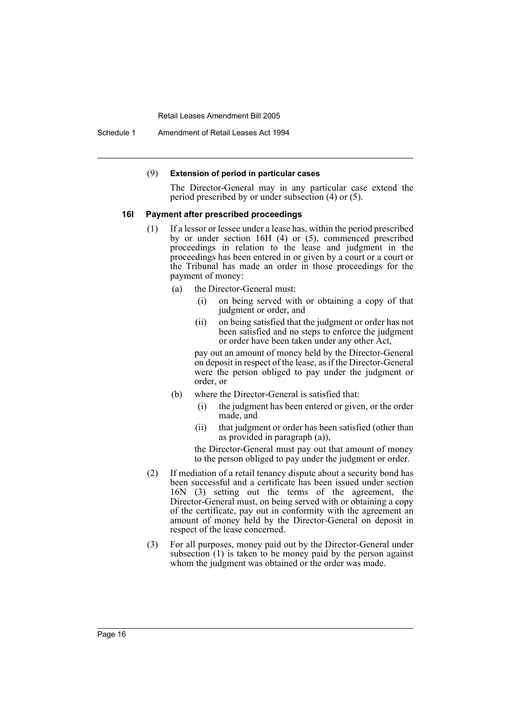Schedule 1 Amendment of Retail Leases Act 1994

#### (9) **Extension of period in particular cases**

The Director-General may in any particular case extend the period prescribed by or under subsection (4) or (5).

#### **16I Payment after prescribed proceedings**

- (1) If a lessor or lessee under a lease has, within the period prescribed by or under section 16H (4) or (5), commenced prescribed proceedings in relation to the lease and judgment in the proceedings has been entered in or given by a court or a court or the Tribunal has made an order in those proceedings for the payment of money:
	- (a) the Director-General must:
		- (i) on being served with or obtaining a copy of that judgment or order, and
		- (ii) on being satisfied that the judgment or order has not been satisfied and no steps to enforce the judgment or order have been taken under any other Act,

pay out an amount of money held by the Director-General on deposit in respect of the lease, as if the Director-General were the person obliged to pay under the judgment or order, or

- (b) where the Director-General is satisfied that:
	- (i) the judgment has been entered or given, or the order made, and
	- (ii) that judgment or order has been satisfied (other than as provided in paragraph (a)),

the Director-General must pay out that amount of money to the person obliged to pay under the judgment or order.

- (2) If mediation of a retail tenancy dispute about a security bond has been successful and a certificate has been issued under section 16N (3) setting out the terms of the agreement, the Director-General must, on being served with or obtaining a copy of the certificate, pay out in conformity with the agreement an amount of money held by the Director-General on deposit in respect of the lease concerned.
- (3) For all purposes, money paid out by the Director-General under subsection  $(1)$  is taken to be money paid by the person against whom the judgment was obtained or the order was made.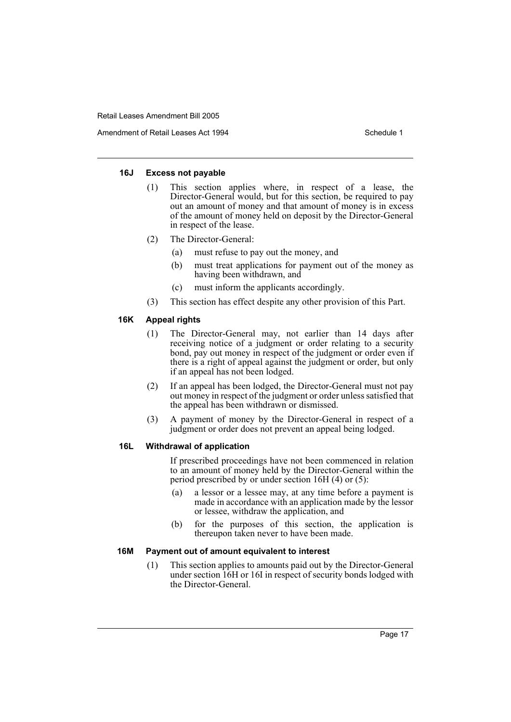Amendment of Retail Leases Act 1994 Schedule 1

#### **16J Excess not payable**

- (1) This section applies where, in respect of a lease, the Director-General would, but for this section, be required to pay out an amount of money and that amount of money is in excess of the amount of money held on deposit by the Director-General in respect of the lease.
- (2) The Director-General:
	- (a) must refuse to pay out the money, and
	- (b) must treat applications for payment out of the money as having been withdrawn, and
	- (c) must inform the applicants accordingly.
- (3) This section has effect despite any other provision of this Part.

## **16K Appeal rights**

- (1) The Director-General may, not earlier than 14 days after receiving notice of a judgment or order relating to a security bond, pay out money in respect of the judgment or order even if there is a right of appeal against the judgment or order, but only if an appeal has not been lodged.
- (2) If an appeal has been lodged, the Director-General must not pay out money in respect of the judgment or order unless satisfied that the appeal has been withdrawn or dismissed.
- (3) A payment of money by the Director-General in respect of a judgment or order does not prevent an appeal being lodged.

## **16L Withdrawal of application**

If prescribed proceedings have not been commenced in relation to an amount of money held by the Director-General within the period prescribed by or under section 16H (4) or (5):

- (a) a lessor or a lessee may, at any time before a payment is made in accordance with an application made by the lessor or lessee, withdraw the application, and
- (b) for the purposes of this section, the application is thereupon taken never to have been made.

#### **16M Payment out of amount equivalent to interest**

(1) This section applies to amounts paid out by the Director-General under section 16H or 16I in respect of security bonds lodged with the Director-General.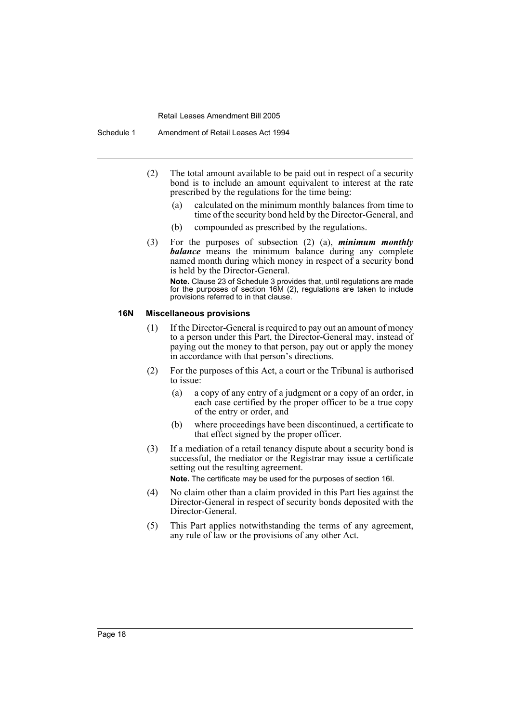- (2) The total amount available to be paid out in respect of a security bond is to include an amount equivalent to interest at the rate prescribed by the regulations for the time being:
	- (a) calculated on the minimum monthly balances from time to time of the security bond held by the Director-General, and
	- (b) compounded as prescribed by the regulations.
- (3) For the purposes of subsection (2) (a), *minimum monthly balance* means the minimum balance during any complete named month during which money in respect of a security bond is held by the Director-General.

**Note.** Clause 23 of Schedule 3 provides that, until regulations are made for the purposes of section 16M (2), regulations are taken to include provisions referred to in that clause.

#### **16N Miscellaneous provisions**

- (1) If the Director-General is required to pay out an amount of money to a person under this Part, the Director-General may, instead of paying out the money to that person, pay out or apply the money in accordance with that person's directions.
- (2) For the purposes of this Act, a court or the Tribunal is authorised to issue:
	- (a) a copy of any entry of a judgment or a copy of an order, in each case certified by the proper officer to be a true copy of the entry or order, and
	- (b) where proceedings have been discontinued, a certificate to that effect signed by the proper officer.
- (3) If a mediation of a retail tenancy dispute about a security bond is successful, the mediator or the Registrar may issue a certificate setting out the resulting agreement.

**Note.** The certificate may be used for the purposes of section 16I.

- (4) No claim other than a claim provided in this Part lies against the Director-General in respect of security bonds deposited with the Director-General.
- (5) This Part applies notwithstanding the terms of any agreement, any rule of law or the provisions of any other Act.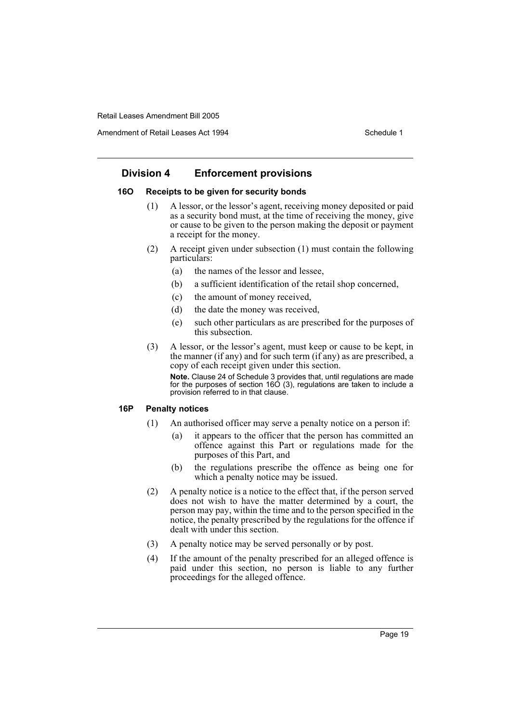Amendment of Retail Leases Act 1994 Schedule 1

## **Division 4 Enforcement provisions**

## **16O Receipts to be given for security bonds**

- (1) A lessor, or the lessor's agent, receiving money deposited or paid as a security bond must, at the time of receiving the money, give or cause to be given to the person making the deposit or payment a receipt for the money.
- (2) A receipt given under subsection (1) must contain the following particulars:
	- (a) the names of the lessor and lessee,
	- (b) a sufficient identification of the retail shop concerned,
	- (c) the amount of money received,
	- (d) the date the money was received,
	- (e) such other particulars as are prescribed for the purposes of this subsection.
- (3) A lessor, or the lessor's agent, must keep or cause to be kept, in the manner (if any) and for such term (if any) as are prescribed, a copy of each receipt given under this section.

**Note.** Clause 24 of Schedule 3 provides that, until regulations are made for the purposes of section 16O (3), regulations are taken to include a provision referred to in that clause.

## **16P Penalty notices**

- (1) An authorised officer may serve a penalty notice on a person if:
	- (a) it appears to the officer that the person has committed an offence against this Part or regulations made for the purposes of this Part, and
	- (b) the regulations prescribe the offence as being one for which a penalty notice may be issued.
- (2) A penalty notice is a notice to the effect that, if the person served does not wish to have the matter determined by a court, the person may pay, within the time and to the person specified in the notice, the penalty prescribed by the regulations for the offence if dealt with under this section.
- (3) A penalty notice may be served personally or by post.
- (4) If the amount of the penalty prescribed for an alleged offence is paid under this section, no person is liable to any further proceedings for the alleged offence.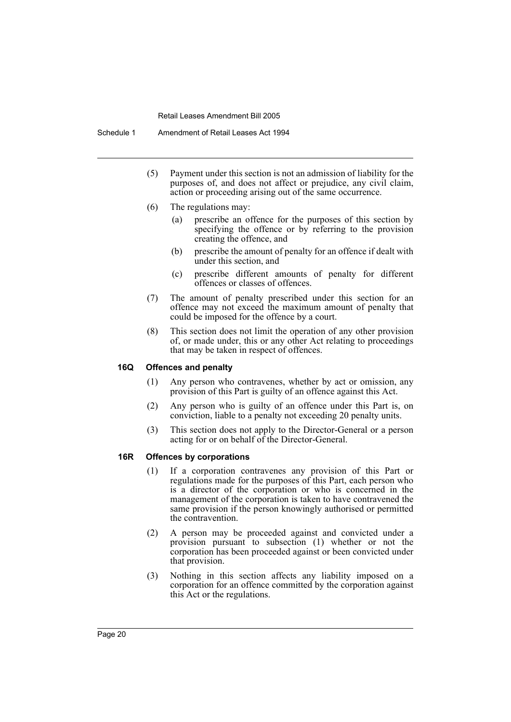- (5) Payment under this section is not an admission of liability for the purposes of, and does not affect or prejudice, any civil claim, action or proceeding arising out of the same occurrence.
- (6) The regulations may:
	- (a) prescribe an offence for the purposes of this section by specifying the offence or by referring to the provision creating the offence, and
	- (b) prescribe the amount of penalty for an offence if dealt with under this section, and
	- (c) prescribe different amounts of penalty for different offences or classes of offences.
- (7) The amount of penalty prescribed under this section for an offence may not exceed the maximum amount of penalty that could be imposed for the offence by a court.
- (8) This section does not limit the operation of any other provision of, or made under, this or any other Act relating to proceedings that may be taken in respect of offences.

#### **16Q Offences and penalty**

- (1) Any person who contravenes, whether by act or omission, any provision of this Part is guilty of an offence against this Act.
- (2) Any person who is guilty of an offence under this Part is, on conviction, liable to a penalty not exceeding 20 penalty units.
- (3) This section does not apply to the Director-General or a person acting for or on behalf of the Director-General.

## **16R Offences by corporations**

- (1) If a corporation contravenes any provision of this Part or regulations made for the purposes of this Part, each person who is a director of the corporation or who is concerned in the management of the corporation is taken to have contravened the same provision if the person knowingly authorised or permitted the contravention.
- (2) A person may be proceeded against and convicted under a provision pursuant to subsection (1) whether or not the corporation has been proceeded against or been convicted under that provision.
- (3) Nothing in this section affects any liability imposed on a corporation for an offence committed by the corporation against this Act or the regulations.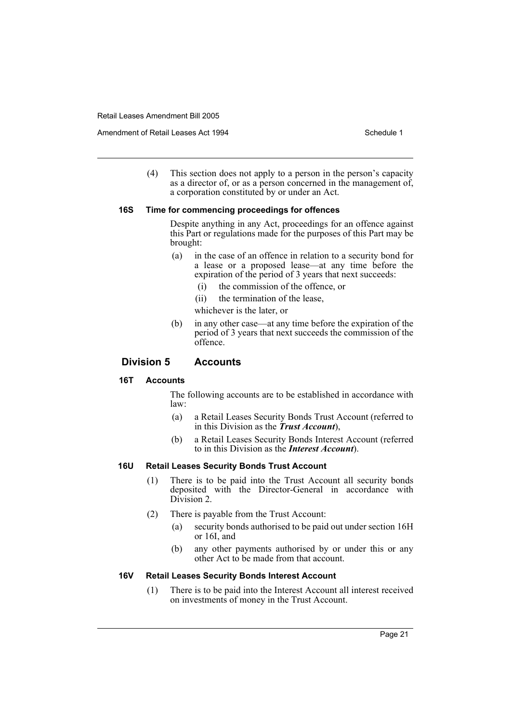Amendment of Retail Leases Act 1994 Schedule 1

(4) This section does not apply to a person in the person's capacity as a director of, or as a person concerned in the management of, a corporation constituted by or under an Act.

#### **16S Time for commencing proceedings for offences**

Despite anything in any Act, proceedings for an offence against this Part or regulations made for the purposes of this Part may be brought:

- (a) in the case of an offence in relation to a security bond for a lease or a proposed lease—at any time before the expiration of the period of 3 years that next succeeds:
	- (i) the commission of the offence, or
	- (ii) the termination of the lease,

whichever is the later, or

(b) in any other case—at any time before the expiration of the period of 3 years that next succeeds the commission of the offence.

## **Division 5 Accounts**

## **16T Accounts**

The following accounts are to be established in accordance with law:

- (a) a Retail Leases Security Bonds Trust Account (referred to in this Division as the *Trust Account*),
- (b) a Retail Leases Security Bonds Interest Account (referred to in this Division as the *Interest Account*).

## **16U Retail Leases Security Bonds Trust Account**

- (1) There is to be paid into the Trust Account all security bonds deposited with the Director-General in accordance with Division 2.
- (2) There is payable from the Trust Account:
	- (a) security bonds authorised to be paid out under section 16H or 16I, and
	- (b) any other payments authorised by or under this or any other Act to be made from that account.

## **16V Retail Leases Security Bonds Interest Account**

(1) There is to be paid into the Interest Account all interest received on investments of money in the Trust Account.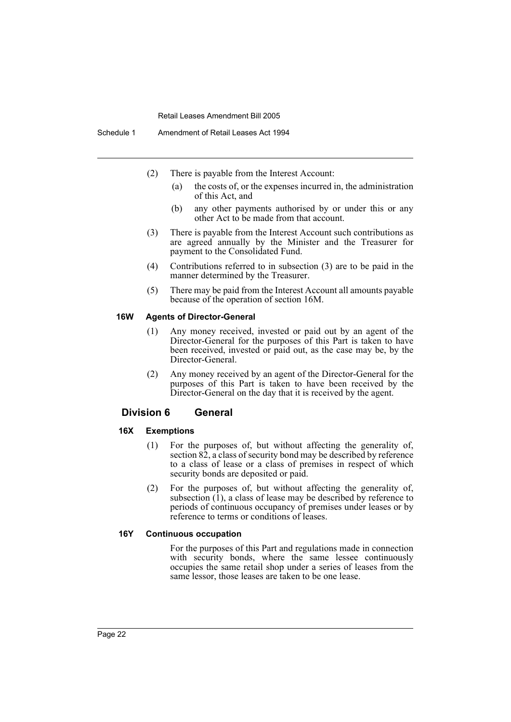- (2) There is payable from the Interest Account:
	- (a) the costs of, or the expenses incurred in, the administration of this Act, and
	- (b) any other payments authorised by or under this or any other Act to be made from that account.
- (3) There is payable from the Interest Account such contributions as are agreed annually by the Minister and the Treasurer for payment to the Consolidated Fund.
- (4) Contributions referred to in subsection (3) are to be paid in the manner determined by the Treasurer.
- (5) There may be paid from the Interest Account all amounts payable because of the operation of section 16M.

#### **16W Agents of Director-General**

- (1) Any money received, invested or paid out by an agent of the Director-General for the purposes of this Part is taken to have been received, invested or paid out, as the case may be, by the Director-General.
- (2) Any money received by an agent of the Director-General for the purposes of this Part is taken to have been received by the Director-General on the day that it is received by the agent.

## **Division 6 General**

#### **16X Exemptions**

- (1) For the purposes of, but without affecting the generality of, section 82, a class of security bond may be described by reference to a class of lease or a class of premises in respect of which security bonds are deposited or paid.
- (2) For the purposes of, but without affecting the generality of, subsection  $(1)$ , a class of lease may be described by reference to periods of continuous occupancy of premises under leases or by reference to terms or conditions of leases.

#### **16Y Continuous occupation**

For the purposes of this Part and regulations made in connection with security bonds, where the same lessee continuously occupies the same retail shop under a series of leases from the same lessor, those leases are taken to be one lease.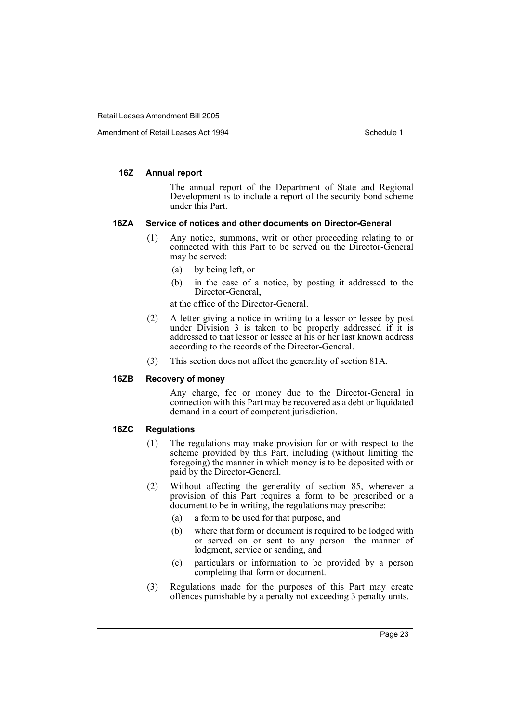Amendment of Retail Leases Act 1994 Schedule 1

#### **16Z Annual report**

The annual report of the Department of State and Regional Development is to include a report of the security bond scheme under this Part.

#### **16ZA Service of notices and other documents on Director-General**

- (1) Any notice, summons, writ or other proceeding relating to or connected with this Part to be served on the Director-General may be served:
	- (a) by being left, or
	- (b) in the case of a notice, by posting it addressed to the Director-General,

at the office of the Director-General.

- (2) A letter giving a notice in writing to a lessor or lessee by post under Division 3 is taken to be properly addressed if it is addressed to that lessor or lessee at his or her last known address according to the records of the Director-General.
- (3) This section does not affect the generality of section 81A.

## **16ZB Recovery of money**

Any charge, fee or money due to the Director-General in connection with this Part may be recovered as a debt or liquidated demand in a court of competent jurisdiction.

## **16ZC Regulations**

- (1) The regulations may make provision for or with respect to the scheme provided by this Part, including (without limiting the foregoing) the manner in which money is to be deposited with or paid by the Director-General.
- (2) Without affecting the generality of section 85, wherever a provision of this Part requires a form to be prescribed or a document to be in writing, the regulations may prescribe:
	- (a) a form to be used for that purpose, and
	- (b) where that form or document is required to be lodged with or served on or sent to any person—the manner of lodgment, service or sending, and
	- (c) particulars or information to be provided by a person completing that form or document.
- (3) Regulations made for the purposes of this Part may create offences punishable by a penalty not exceeding 3 penalty units.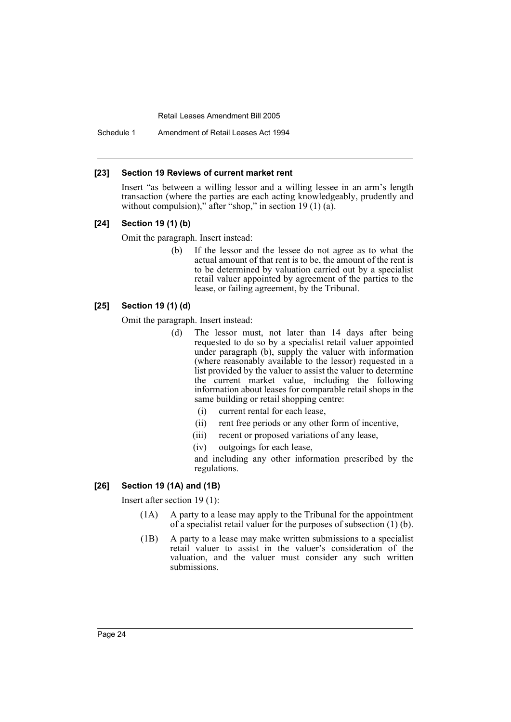Schedule 1 Amendment of Retail Leases Act 1994

#### **[23] Section 19 Reviews of current market rent**

Insert "as between a willing lessor and a willing lessee in an arm's length transaction (where the parties are each acting knowledgeably, prudently and without compulsion)," after "shop," in section 19 (1) (a).

#### **[24] Section 19 (1) (b)**

Omit the paragraph. Insert instead:

(b) If the lessor and the lessee do not agree as to what the actual amount of that rent is to be, the amount of the rent is to be determined by valuation carried out by a specialist retail valuer appointed by agreement of the parties to the lease, or failing agreement, by the Tribunal.

## **[25] Section 19 (1) (d)**

Omit the paragraph. Insert instead:

- (d) The lessor must, not later than 14 days after being requested to do so by a specialist retail valuer appointed under paragraph (b), supply the valuer with information (where reasonably available to the lessor) requested in a list provided by the valuer to assist the valuer to determine the current market value, including the following information about leases for comparable retail shops in the same building or retail shopping centre:
	- (i) current rental for each lease,
	- (ii) rent free periods or any other form of incentive,
	- (iii) recent or proposed variations of any lease,
	- (iv) outgoings for each lease,

and including any other information prescribed by the regulations.

#### **[26] Section 19 (1A) and (1B)**

Insert after section 19 (1):

- (1A) A party to a lease may apply to the Tribunal for the appointment of a specialist retail valuer for the purposes of subsection (1) (b).
- (1B) A party to a lease may make written submissions to a specialist retail valuer to assist in the valuer's consideration of the valuation, and the valuer must consider any such written submissions.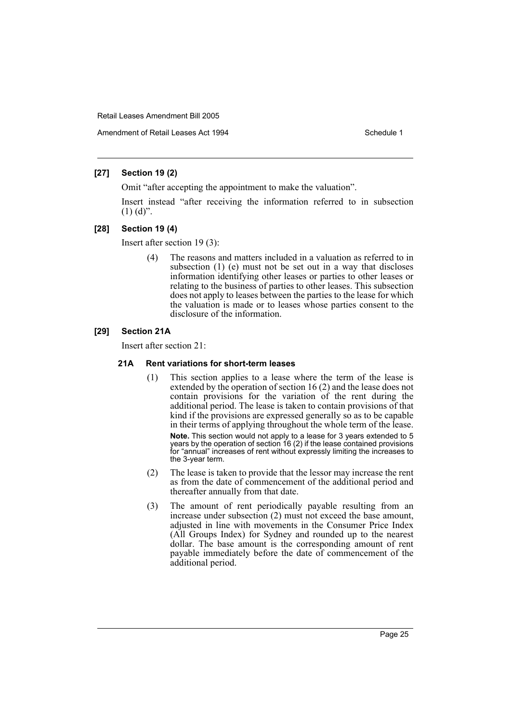Amendment of Retail Leases Act 1994 Schedule 1

## **[27] Section 19 (2)**

Omit "after accepting the appointment to make the valuation".

Insert instead "after receiving the information referred to in subsection  $(1)$   $(d)$ ".

## **[28] Section 19 (4)**

Insert after section 19 (3):

(4) The reasons and matters included in a valuation as referred to in subsection (1) (e) must not be set out in a way that discloses information identifying other leases or parties to other leases or relating to the business of parties to other leases. This subsection does not apply to leases between the parties to the lease for which the valuation is made or to leases whose parties consent to the disclosure of the information.

## **[29] Section 21A**

Insert after section 21:

## **21A Rent variations for short-term leases**

- (1) This section applies to a lease where the term of the lease is extended by the operation of section 16 (2) and the lease does not contain provisions for the variation of the rent during the additional period. The lease is taken to contain provisions of that kind if the provisions are expressed generally so as to be capable in their terms of applying throughout the whole term of the lease. **Note.** This section would not apply to a lease for 3 years extended to 5 years by the operation of section 16 (2) if the lease contained provisions for "annual" increases of rent without expressly limiting the increases to the 3-year term.
- (2) The lease is taken to provide that the lessor may increase the rent as from the date of commencement of the additional period and thereafter annually from that date.
- (3) The amount of rent periodically payable resulting from an increase under subsection (2) must not exceed the base amount, adjusted in line with movements in the Consumer Price Index (All Groups Index) for Sydney and rounded up to the nearest dollar. The base amount is the corresponding amount of rent payable immediately before the date of commencement of the additional period.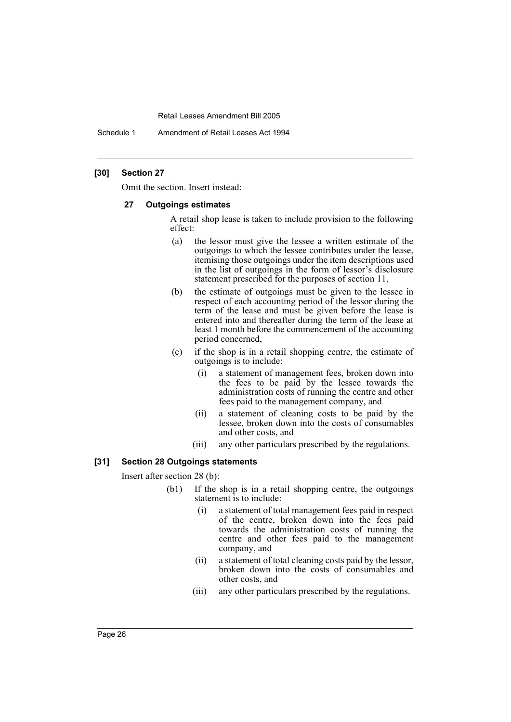Schedule 1 Amendment of Retail Leases Act 1994

#### **[30] Section 27**

Omit the section. Insert instead:

#### **27 Outgoings estimates**

A retail shop lease is taken to include provision to the following effect:

- (a) the lessor must give the lessee a written estimate of the outgoings to which the lessee contributes under the lease, itemising those outgoings under the item descriptions used in the list of outgoings in the form of lessor's disclosure statement prescribed for the purposes of section 11,
- (b) the estimate of outgoings must be given to the lessee in respect of each accounting period of the lessor during the term of the lease and must be given before the lease is entered into and thereafter during the term of the lease at least 1 month before the commencement of the accounting period concerned,
- (c) if the shop is in a retail shopping centre, the estimate of outgoings is to include:
	- (i) a statement of management fees, broken down into the fees to be paid by the lessee towards the administration costs of running the centre and other fees paid to the management company, and
	- (ii) a statement of cleaning costs to be paid by the lessee, broken down into the costs of consumables and other costs, and
	- (iii) any other particulars prescribed by the regulations.

#### **[31] Section 28 Outgoings statements**

Insert after section 28 (b):

- (b1) If the shop is in a retail shopping centre, the outgoings statement is to include:
	- (i) a statement of total management fees paid in respect of the centre, broken down into the fees paid towards the administration costs of running the centre and other fees paid to the management company, and
	- (ii) a statement of total cleaning costs paid by the lessor, broken down into the costs of consumables and other costs, and
	- (iii) any other particulars prescribed by the regulations.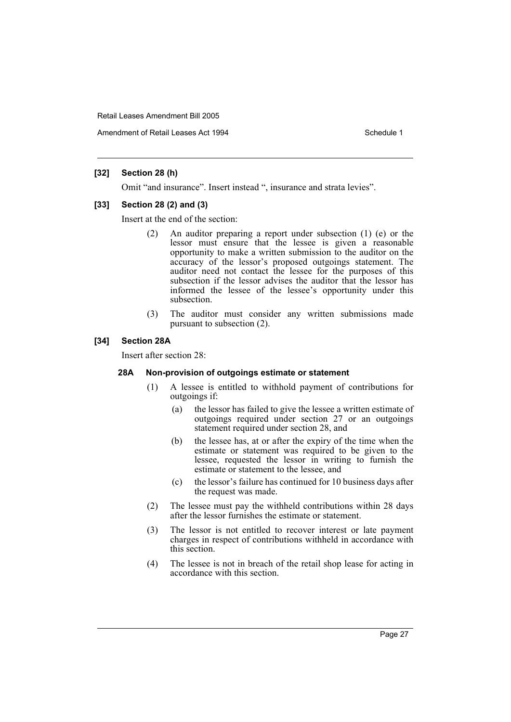Amendment of Retail Leases Act 1994 Schedule 1

## **[32] Section 28 (h)**

Omit "and insurance". Insert instead ", insurance and strata levies".

#### **[33] Section 28 (2) and (3)**

Insert at the end of the section:

- (2) An auditor preparing a report under subsection (1) (e) or the lessor must ensure that the lessee is given a reasonable opportunity to make a written submission to the auditor on the accuracy of the lessor's proposed outgoings statement. The auditor need not contact the lessee for the purposes of this subsection if the lessor advises the auditor that the lessor has informed the lessee of the lessee's opportunity under this subsection.
- (3) The auditor must consider any written submissions made pursuant to subsection (2).

#### **[34] Section 28A**

Insert after section 28:

#### **28A Non-provision of outgoings estimate or statement**

- (1) A lessee is entitled to withhold payment of contributions for outgoings if:
	- (a) the lessor has failed to give the lessee a written estimate of outgoings required under section 27 or an outgoings statement required under section 28, and
	- (b) the lessee has, at or after the expiry of the time when the estimate or statement was required to be given to the lessee, requested the lessor in writing to furnish the estimate or statement to the lessee, and
	- (c) the lessor's failure has continued for 10 business days after the request was made.
- (2) The lessee must pay the withheld contributions within 28 days after the lessor furnishes the estimate or statement.
- (3) The lessor is not entitled to recover interest or late payment charges in respect of contributions withheld in accordance with this section.
- (4) The lessee is not in breach of the retail shop lease for acting in accordance with this section.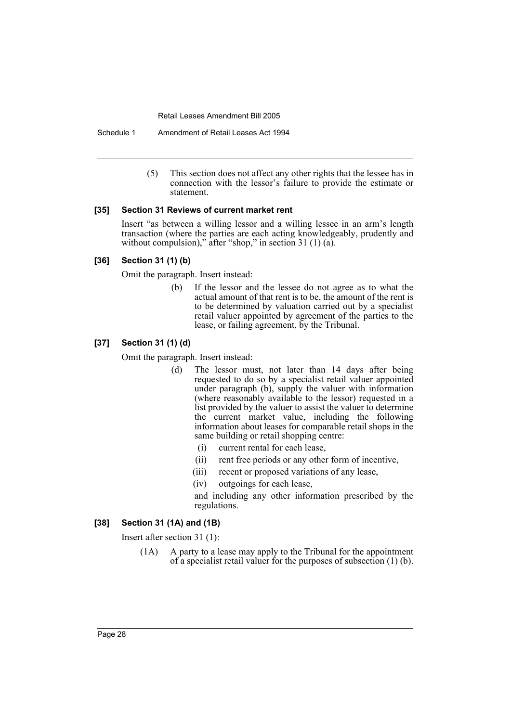Schedule 1 Amendment of Retail Leases Act 1994

(5) This section does not affect any other rights that the lessee has in connection with the lessor's failure to provide the estimate or statement.

#### **[35] Section 31 Reviews of current market rent**

Insert "as between a willing lessor and a willing lessee in an arm's length transaction (where the parties are each acting knowledgeably, prudently and without compulsion)," after "shop," in section 31 (1) (a).

#### **[36] Section 31 (1) (b)**

Omit the paragraph. Insert instead:

(b) If the lessor and the lessee do not agree as to what the actual amount of that rent is to be, the amount of the rent is to be determined by valuation carried out by a specialist retail valuer appointed by agreement of the parties to the lease, or failing agreement, by the Tribunal.

## **[37] Section 31 (1) (d)**

Omit the paragraph. Insert instead:

- (d) The lessor must, not later than 14 days after being requested to do so by a specialist retail valuer appointed under paragraph (b), supply the valuer with information (where reasonably available to the lessor) requested in a list provided by the valuer to assist the valuer to determine the current market value, including the following information about leases for comparable retail shops in the same building or retail shopping centre:
	- (i) current rental for each lease,
	- (ii) rent free periods or any other form of incentive,
	- (iii) recent or proposed variations of any lease,
	- (iv) outgoings for each lease,

and including any other information prescribed by the regulations.

#### **[38] Section 31 (1A) and (1B)**

Insert after section 31 (1):

(1A) A party to a lease may apply to the Tribunal for the appointment of a specialist retail valuer for the purposes of subsection (1) (b).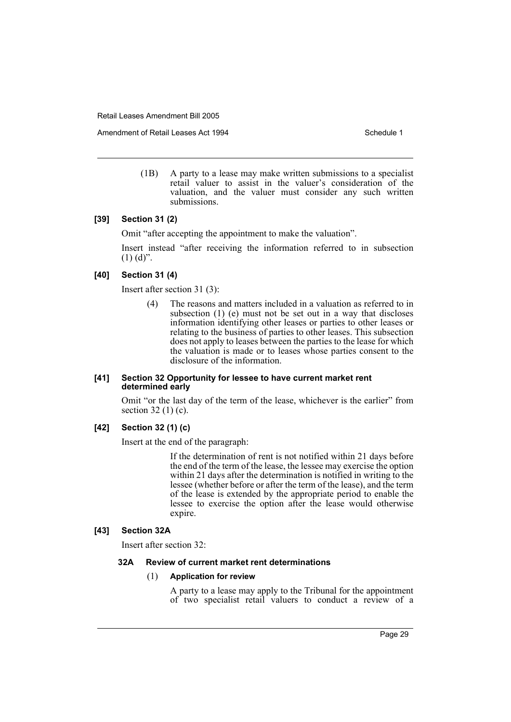Amendment of Retail Leases Act 1994 Schedule 1

(1B) A party to a lease may make written submissions to a specialist retail valuer to assist in the valuer's consideration of the valuation, and the valuer must consider any such written submissions.

## **[39] Section 31 (2)**

Omit "after accepting the appointment to make the valuation".

Insert instead "after receiving the information referred to in subsection  $(1)$   $(d)$ ".

## **[40] Section 31 (4)**

Insert after section 31 (3):

(4) The reasons and matters included in a valuation as referred to in subsection (1) (e) must not be set out in a way that discloses information identifying other leases or parties to other leases or relating to the business of parties to other leases. This subsection does not apply to leases between the parties to the lease for which the valuation is made or to leases whose parties consent to the disclosure of the information.

#### **[41] Section 32 Opportunity for lessee to have current market rent determined early**

Omit "or the last day of the term of the lease, whichever is the earlier" from section 32 (1) (c).

## **[42] Section 32 (1) (c)**

Insert at the end of the paragraph:

If the determination of rent is not notified within 21 days before the end of the term of the lease, the lessee may exercise the option within 21 days after the determination is notified in writing to the lessee (whether before or after the term of the lease), and the term of the lease is extended by the appropriate period to enable the lessee to exercise the option after the lease would otherwise expire.

## **[43] Section 32A**

Insert after section 32:

#### **32A Review of current market rent determinations**

#### (1) **Application for review**

A party to a lease may apply to the Tribunal for the appointment of two specialist retail valuers to conduct a review of a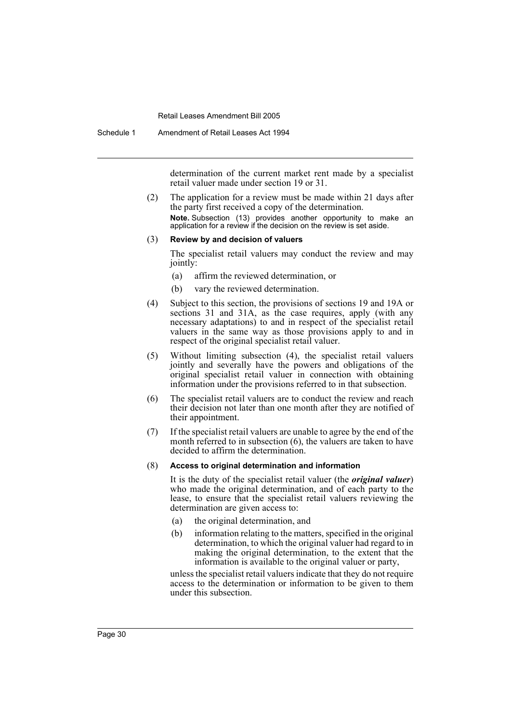Schedule 1 Amendment of Retail Leases Act 1994

determination of the current market rent made by a specialist retail valuer made under section 19 or 31.

(2) The application for a review must be made within 21 days after the party first received a copy of the determination. **Note.** Subsection (13) provides another opportunity to make an application for a review if the decision on the review is set aside.

#### (3) **Review by and decision of valuers**

The specialist retail valuers may conduct the review and may jointly:

- (a) affirm the reviewed determination, or
- (b) vary the reviewed determination.
- (4) Subject to this section, the provisions of sections 19 and 19A or sections 31 and 31A, as the case requires, apply (with any necessary adaptations) to and in respect of the specialist retail valuers in the same way as those provisions apply to and in respect of the original specialist retail valuer.
- (5) Without limiting subsection (4), the specialist retail valuers jointly and severally have the powers and obligations of the original specialist retail valuer in connection with obtaining information under the provisions referred to in that subsection.
- (6) The specialist retail valuers are to conduct the review and reach their decision not later than one month after they are notified of their appointment.
- (7) If the specialist retail valuers are unable to agree by the end of the month referred to in subsection  $(6)$ , the valuers are taken to have decided to affirm the determination.

#### (8) **Access to original determination and information**

It is the duty of the specialist retail valuer (the *original valuer*) who made the original determination, and of each party to the lease, to ensure that the specialist retail valuers reviewing the determination are given access to:

- (a) the original determination, and
- (b) information relating to the matters, specified in the original determination, to which the original valuer had regard to in making the original determination, to the extent that the information is available to the original valuer or party,

unless the specialist retail valuers indicate that they do not require access to the determination or information to be given to them under this subsection.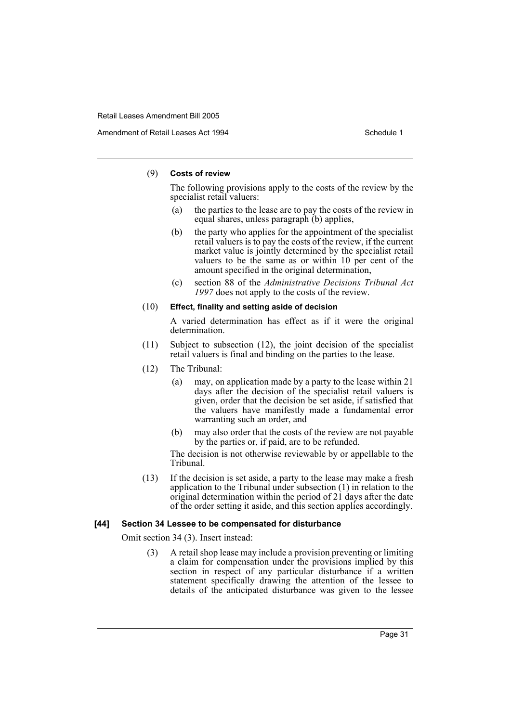#### (9) **Costs of review**

The following provisions apply to the costs of the review by the specialist retail valuers:

- (a) the parties to the lease are to pay the costs of the review in equal shares, unless paragraph (b) applies,
- (b) the party who applies for the appointment of the specialist retail valuers is to pay the costs of the review, if the current market value is jointly determined by the specialist retail valuers to be the same as or within 10 per cent of the amount specified in the original determination,
- (c) section 88 of the *Administrative Decisions Tribunal Act 1997* does not apply to the costs of the review.

#### (10) **Effect, finality and setting aside of decision**

A varied determination has effect as if it were the original determination.

- (11) Subject to subsection (12), the joint decision of the specialist retail valuers is final and binding on the parties to the lease.
- (12) The Tribunal:
	- (a) may, on application made by a party to the lease within 21 days after the decision of the specialist retail valuers is given, order that the decision be set aside, if satisfied that the valuers have manifestly made a fundamental error warranting such an order, and
	- (b) may also order that the costs of the review are not payable by the parties or, if paid, are to be refunded.

The decision is not otherwise reviewable by or appellable to the Tribunal.

(13) If the decision is set aside, a party to the lease may make a fresh application to the Tribunal under subsection (1) in relation to the original determination within the period of 21 days after the date of the order setting it aside, and this section applies accordingly.

#### **[44] Section 34 Lessee to be compensated for disturbance**

Omit section 34 (3). Insert instead:

(3) A retail shop lease may include a provision preventing or limiting a claim for compensation under the provisions implied by this section in respect of any particular disturbance if a written statement specifically drawing the attention of the lessee to details of the anticipated disturbance was given to the lessee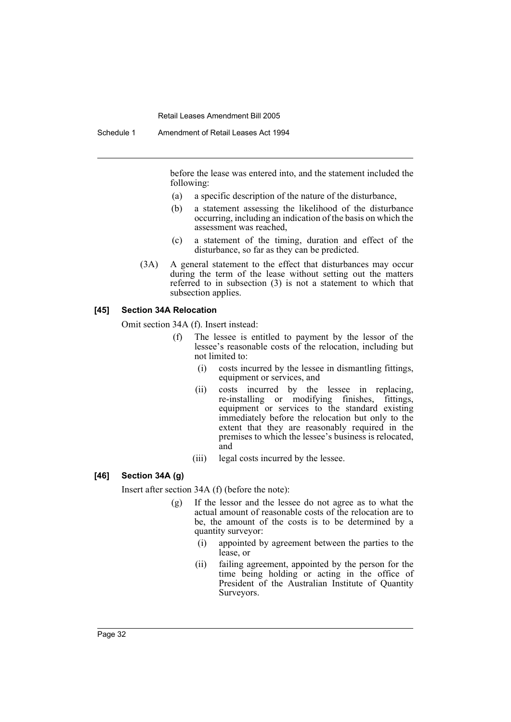before the lease was entered into, and the statement included the following:

- (a) a specific description of the nature of the disturbance,
- (b) a statement assessing the likelihood of the disturbance occurring, including an indication of the basis on which the assessment was reached,
- (c) a statement of the timing, duration and effect of the disturbance, so far as they can be predicted.
- (3A) A general statement to the effect that disturbances may occur during the term of the lease without setting out the matters referred to in subsection (3) is not a statement to which that subsection applies.

#### **[45] Section 34A Relocation**

Omit section 34A (f). Insert instead:

- (f) The lessee is entitled to payment by the lessor of the lessee's reasonable costs of the relocation, including but not limited to:
	- (i) costs incurred by the lessee in dismantling fittings, equipment or services, and
	- (ii) costs incurred by the lessee in replacing, re-installing or modifying finishes, fittings, equipment or services to the standard existing immediately before the relocation but only to the extent that they are reasonably required in the premises to which the lessee's business is relocated, and
	- (iii) legal costs incurred by the lessee.

## **[46] Section 34A (g)**

Insert after section 34A (f) (before the note):

- (g) If the lessor and the lessee do not agree as to what the actual amount of reasonable costs of the relocation are to be, the amount of the costs is to be determined by a quantity surveyor:
	- (i) appointed by agreement between the parties to the lease, or
	- (ii) failing agreement, appointed by the person for the time being holding or acting in the office of President of the Australian Institute of Quantity Surveyors.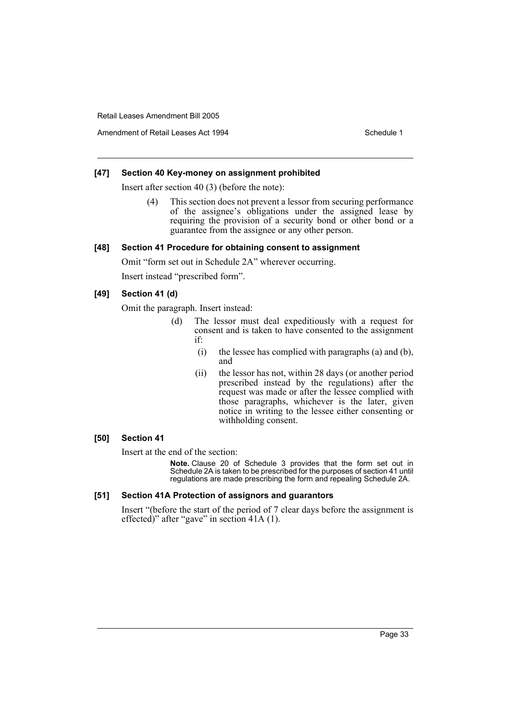Amendment of Retail Leases Act 1994 Schedule 1

#### **[47] Section 40 Key-money on assignment prohibited**

Insert after section 40 (3) (before the note):

(4) This section does not prevent a lessor from securing performance of the assignee's obligations under the assigned lease by requiring the provision of a security bond or other bond or a guarantee from the assignee or any other person.

#### **[48] Section 41 Procedure for obtaining consent to assignment**

Omit "form set out in Schedule 2A" wherever occurring.

Insert instead "prescribed form".

## **[49] Section 41 (d)**

Omit the paragraph. Insert instead:

- (d) The lessor must deal expeditiously with a request for consent and is taken to have consented to the assignment if:
	- (i) the lessee has complied with paragraphs (a) and (b), and
	- (ii) the lessor has not, within 28 days (or another period prescribed instead by the regulations) after the request was made or after the lessee complied with those paragraphs, whichever is the later, given notice in writing to the lessee either consenting or withholding consent.

#### **[50] Section 41**

Insert at the end of the section:

**Note.** Clause 20 of Schedule 3 provides that the form set out in Schedule 2A is taken to be prescribed for the purposes of section 41 until regulations are made prescribing the form and repealing Schedule 2A.

## **[51] Section 41A Protection of assignors and guarantors**

Insert "(before the start of the period of 7 clear days before the assignment is effected)" after "gave" in section 41A (1).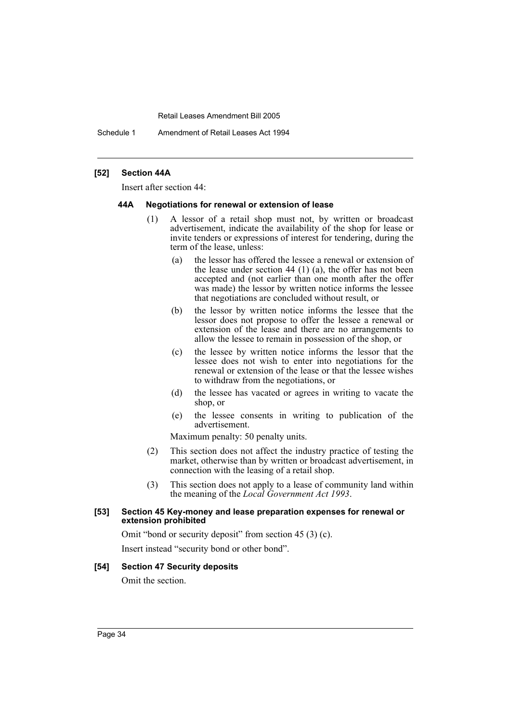Schedule 1 Amendment of Retail Leases Act 1994

#### **[52] Section 44A**

Insert after section 44:

#### **44A Negotiations for renewal or extension of lease**

- (1) A lessor of a retail shop must not, by written or broadcast advertisement, indicate the availability of the shop for lease or invite tenders or expressions of interest for tendering, during the term of the lease, unless:
	- (a) the lessor has offered the lessee a renewal or extension of the lease under section 44 (1) (a), the offer has not been accepted and (not earlier than one month after the offer was made) the lessor by written notice informs the lessee that negotiations are concluded without result, or
	- (b) the lessor by written notice informs the lessee that the lessor does not propose to offer the lessee a renewal or extension of the lease and there are no arrangements to allow the lessee to remain in possession of the shop, or
	- (c) the lessee by written notice informs the lessor that the lessee does not wish to enter into negotiations for the renewal or extension of the lease or that the lessee wishes to withdraw from the negotiations, or
	- (d) the lessee has vacated or agrees in writing to vacate the shop, or
	- (e) the lessee consents in writing to publication of the advertisement.

Maximum penalty: 50 penalty units.

- (2) This section does not affect the industry practice of testing the market, otherwise than by written or broadcast advertisement, in connection with the leasing of a retail shop.
- (3) This section does not apply to a lease of community land within the meaning of the *Local Government Act 1993*.

#### **[53] Section 45 Key-money and lease preparation expenses for renewal or extension prohibited**

Omit "bond or security deposit" from section 45 (3) (c).

Insert instead "security bond or other bond".

## **[54] Section 47 Security deposits**

Omit the section.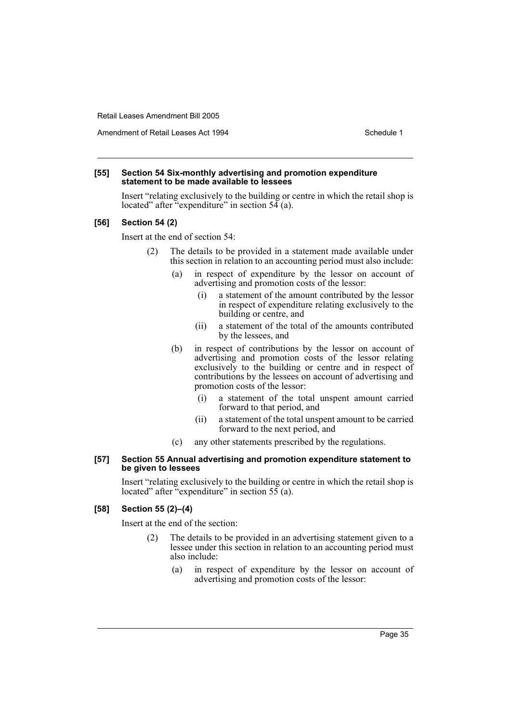Amendment of Retail Leases Act 1994 Schedule 1

#### **[55] Section 54 Six-monthly advertising and promotion expenditure statement to be made available to lessees**

Insert "relating exclusively to the building or centre in which the retail shop is located" after "expenditure" in section  $54$  (a).

#### **[56] Section 54 (2)**

Insert at the end of section 54:

- (2) The details to be provided in a statement made available under this section in relation to an accounting period must also include:
	- (a) in respect of expenditure by the lessor on account of advertising and promotion costs of the lessor:
		- (i) a statement of the amount contributed by the lessor in respect of expenditure relating exclusively to the building or centre, and
		- (ii) a statement of the total of the amounts contributed by the lessees, and
	- (b) in respect of contributions by the lessor on account of advertising and promotion costs of the lessor relating exclusively to the building or centre and in respect of contributions by the lessees on account of advertising and promotion costs of the lessor:
		- (i) a statement of the total unspent amount carried forward to that period, and
		- (ii) a statement of the total unspent amount to be carried forward to the next period, and
	- (c) any other statements prescribed by the regulations.

#### **[57] Section 55 Annual advertising and promotion expenditure statement to be given to lessees**

Insert "relating exclusively to the building or centre in which the retail shop is located" after "expenditure" in section  $55$  (a).

### **[58] Section 55 (2)–(4)**

Insert at the end of the section:

- (2) The details to be provided in an advertising statement given to a lessee under this section in relation to an accounting period must also include:
	- (a) in respect of expenditure by the lessor on account of advertising and promotion costs of the lessor: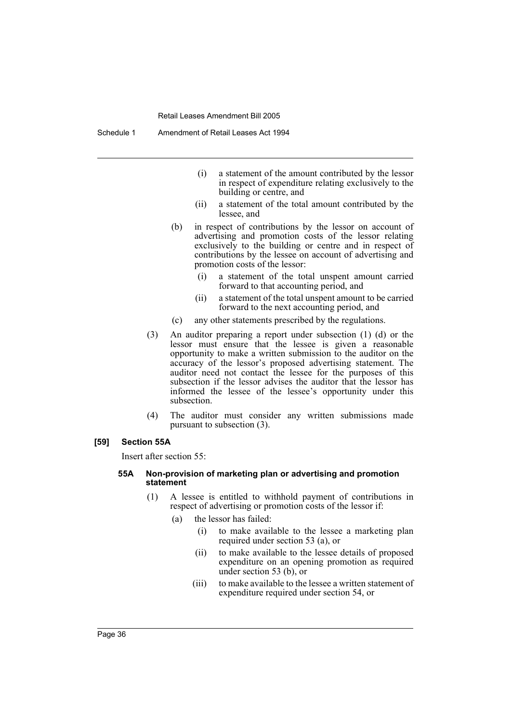Schedule 1 Amendment of Retail Leases Act 1994

- (i) a statement of the amount contributed by the lessor in respect of expenditure relating exclusively to the building or centre, and
- (ii) a statement of the total amount contributed by the lessee, and
- (b) in respect of contributions by the lessor on account of advertising and promotion costs of the lessor relating exclusively to the building or centre and in respect of contributions by the lessee on account of advertising and promotion costs of the lessor:
	- (i) a statement of the total unspent amount carried forward to that accounting period, and
	- (ii) a statement of the total unspent amount to be carried forward to the next accounting period, and
- (c) any other statements prescribed by the regulations.
- (3) An auditor preparing a report under subsection (1) (d) or the lessor must ensure that the lessee is given a reasonable opportunity to make a written submission to the auditor on the accuracy of the lessor's proposed advertising statement. The auditor need not contact the lessee for the purposes of this subsection if the lessor advises the auditor that the lessor has informed the lessee of the lessee's opportunity under this subsection.
- (4) The auditor must consider any written submissions made pursuant to subsection (3).

#### **[59] Section 55A**

Insert after section 55:

#### **55A Non-provision of marketing plan or advertising and promotion statement**

- (1) A lessee is entitled to withhold payment of contributions in respect of advertising or promotion costs of the lessor if:
	- (a) the lessor has failed:
		- (i) to make available to the lessee a marketing plan required under section 53 (a), or
		- (ii) to make available to the lessee details of proposed expenditure on an opening promotion as required under section 53 (b), or
		- (iii) to make available to the lessee a written statement of expenditure required under section 54, or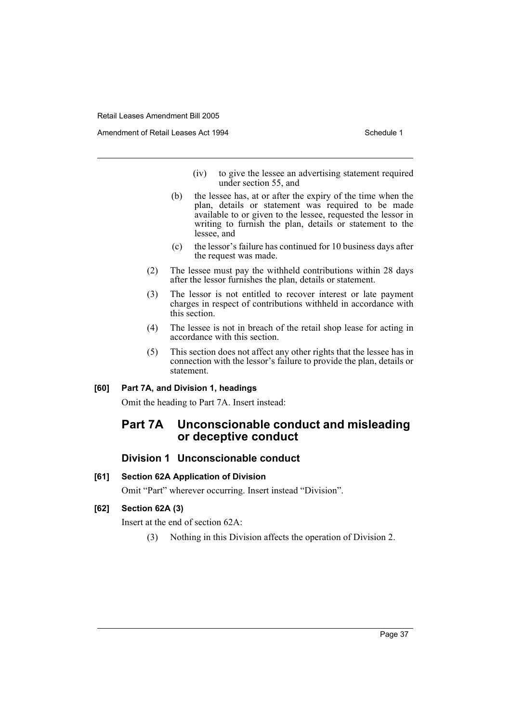Amendment of Retail Leases Act 1994 Schedule 1

- (iv) to give the lessee an advertising statement required under section 55, and
- (b) the lessee has, at or after the expiry of the time when the plan, details or statement was required to be made available to or given to the lessee, requested the lessor in writing to furnish the plan, details or statement to the lessee, and
- (c) the lessor's failure has continued for 10 business days after the request was made.
- (2) The lessee must pay the withheld contributions within 28 days after the lessor furnishes the plan, details or statement.
- (3) The lessor is not entitled to recover interest or late payment charges in respect of contributions withheld in accordance with this section.
- (4) The lessee is not in breach of the retail shop lease for acting in accordance with this section.
- (5) This section does not affect any other rights that the lessee has in connection with the lessor's failure to provide the plan, details or statement.

#### **[60] Part 7A, and Division 1, headings**

Omit the heading to Part 7A. Insert instead:

# **Part 7A Unconscionable conduct and misleading or deceptive conduct**

## **Division 1 Unconscionable conduct**

## **[61] Section 62A Application of Division**

Omit "Part" wherever occurring. Insert instead "Division".

## **[62] Section 62A (3)**

Insert at the end of section 62A:

(3) Nothing in this Division affects the operation of Division 2.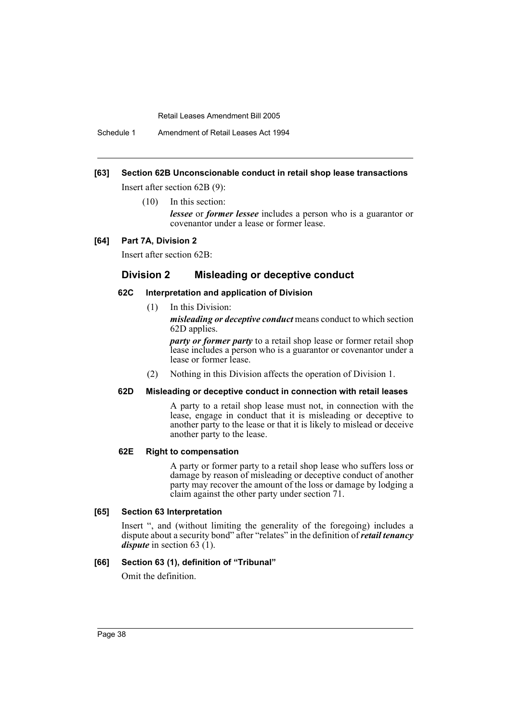Schedule 1 Amendment of Retail Leases Act 1994

## **[63] Section 62B Unconscionable conduct in retail shop lease transactions**

Insert after section 62B (9):

(10) In this section:

*lessee* or *former lessee* includes a person who is a guarantor or covenantor under a lease or former lease.

#### **[64] Part 7A, Division 2**

Insert after section 62B:

## **Division 2 Misleading or deceptive conduct**

#### **62C Interpretation and application of Division**

(1) In this Division:

*misleading or deceptive conduct* means conduct to which section 62D applies.

*party or former party* to a retail shop lease or former retail shop lease includes a person who is a guarantor or covenantor under a lease or former lease.

(2) Nothing in this Division affects the operation of Division 1.

#### **62D Misleading or deceptive conduct in connection with retail leases**

A party to a retail shop lease must not, in connection with the lease, engage in conduct that it is misleading or deceptive to another party to the lease or that it is likely to mislead or deceive another party to the lease.

## **62E Right to compensation**

A party or former party to a retail shop lease who suffers loss or damage by reason of misleading or deceptive conduct of another party may recover the amount of the loss or damage by lodging a claim against the other party under section 71.

#### **[65] Section 63 Interpretation**

Insert ", and (without limiting the generality of the foregoing) includes a dispute about a security bond" after "relates" in the definition of *retail tenancy dispute* in section 63 (1).

#### **[66] Section 63 (1), definition of "Tribunal"**

Omit the definition.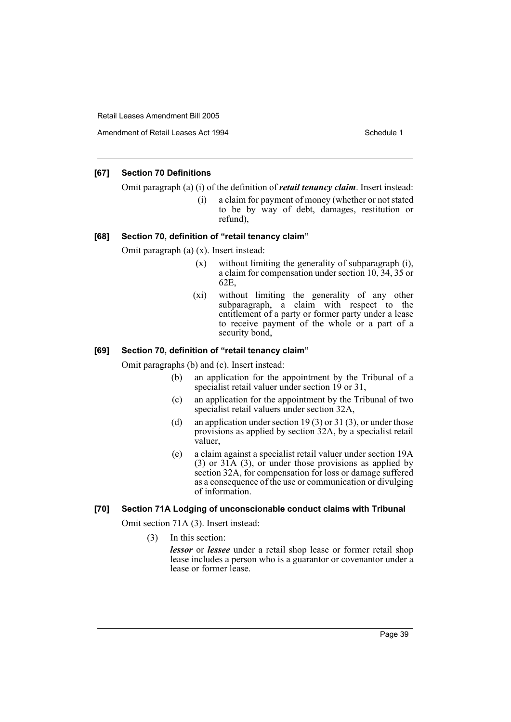Amendment of Retail Leases Act 1994 Schedule 1

## **[67] Section 70 Definitions**

Omit paragraph (a) (i) of the definition of *retail tenancy claim*. Insert instead:

(i) a claim for payment of money (whether or not stated to be by way of debt, damages, restitution or refund),

#### **[68] Section 70, definition of "retail tenancy claim"**

Omit paragraph (a) (x). Insert instead:

- (x) without limiting the generality of subparagraph (i), a claim for compensation under section 10, 34, 35 or 62E,
- (xi) without limiting the generality of any other subparagraph, a claim with respect to the entitlement of a party or former party under a lease to receive payment of the whole or a part of a security bond,

#### **[69] Section 70, definition of "retail tenancy claim"**

Omit paragraphs (b) and (c). Insert instead:

- (b) an application for the appointment by the Tribunal of a specialist retail valuer under section 19 or 31,
- (c) an application for the appointment by the Tribunal of two specialist retail valuers under section 32A.
- (d) an application under section 19(3) or 31(3), or under those provisions as applied by section 32A, by a specialist retail valuer,
- (e) a claim against a specialist retail valuer under section 19A (3) or 31A (3), or under those provisions as applied by section 32A, for compensation for loss or damage suffered as a consequence of the use or communication or divulging of information.

## **[70] Section 71A Lodging of unconscionable conduct claims with Tribunal**

Omit section 71A (3). Insert instead:

(3) In this section:

*lessor* or *lessee* under a retail shop lease or former retail shop lease includes a person who is a guarantor or covenantor under a lease or former lease.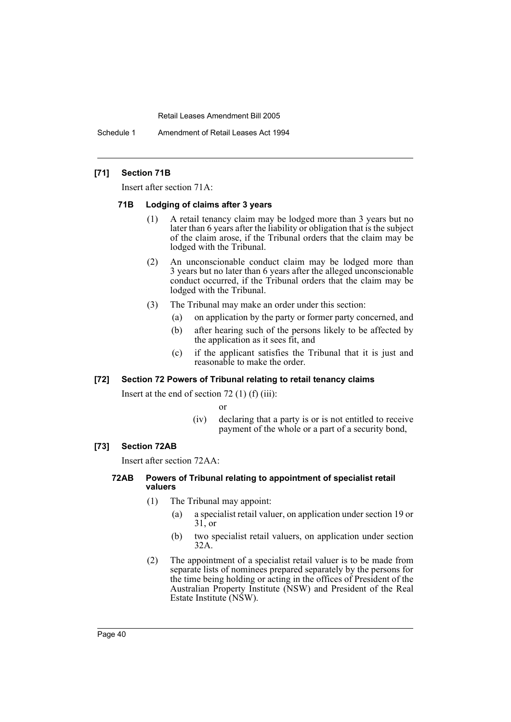Schedule 1 Amendment of Retail Leases Act 1994

## **[71] Section 71B**

Insert after section 71A:

#### **71B Lodging of claims after 3 years**

- (1) A retail tenancy claim may be lodged more than 3 years but no later than 6 years after the liability or obligation that is the subject of the claim arose, if the Tribunal orders that the claim may be lodged with the Tribunal.
- (2) An unconscionable conduct claim may be lodged more than 3 years but no later than 6 years after the alleged unconscionable conduct occurred, if the Tribunal orders that the claim may be lodged with the Tribunal.
- (3) The Tribunal may make an order under this section:
	- (a) on application by the party or former party concerned, and
	- (b) after hearing such of the persons likely to be affected by the application as it sees fit, and
	- (c) if the applicant satisfies the Tribunal that it is just and reasonable to make the order.

## **[72] Section 72 Powers of Tribunal relating to retail tenancy claims**

Insert at the end of section  $72$  (1) (f) (iii):

or

(iv) declaring that a party is or is not entitled to receive payment of the whole or a part of a security bond,

#### **[73] Section 72AB**

Insert after section 72AA:

#### **72AB Powers of Tribunal relating to appointment of specialist retail valuers**

- (1) The Tribunal may appoint:
	- (a) a specialist retail valuer, on application under section 19 or 31, or
	- (b) two specialist retail valuers, on application under section 32A.
- (2) The appointment of a specialist retail valuer is to be made from separate lists of nominees prepared separately by the persons for the time being holding or acting in the offices of President of the Australian Property Institute (NSW) and President of the Real Estate Institute (NSW).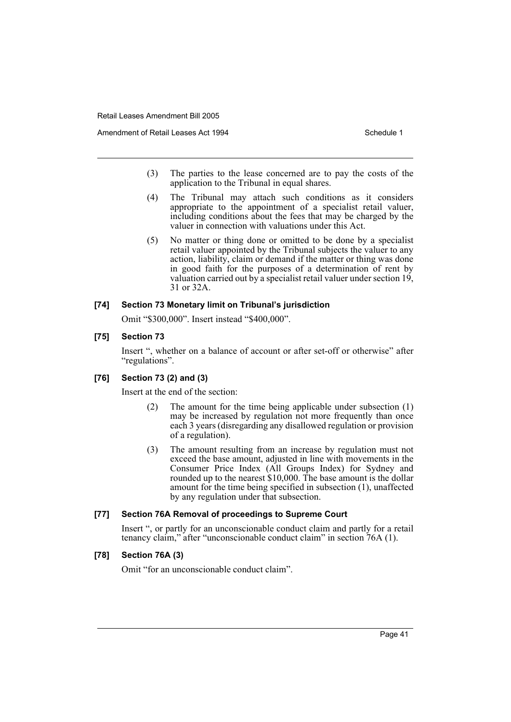- (3) The parties to the lease concerned are to pay the costs of the application to the Tribunal in equal shares.
- (4) The Tribunal may attach such conditions as it considers appropriate to the appointment of a specialist retail valuer, including conditions about the fees that may be charged by the valuer in connection with valuations under this Act.
- (5) No matter or thing done or omitted to be done by a specialist retail valuer appointed by the Tribunal subjects the valuer to any action, liability, claim or demand if the matter or thing was done in good faith for the purposes of a determination of rent by valuation carried out by a specialist retail valuer under section  $19$ , 31 or 32A.

## **[74] Section 73 Monetary limit on Tribunal's jurisdiction**

Omit "\$300,000". Insert instead "\$400,000".

#### **[75] Section 73**

Insert ", whether on a balance of account or after set-off or otherwise" after "regulations".

#### **[76] Section 73 (2) and (3)**

Insert at the end of the section:

- (2) The amount for the time being applicable under subsection (1) may be increased by regulation not more frequently than once each 3 years (disregarding any disallowed regulation or provision of a regulation).
- (3) The amount resulting from an increase by regulation must not exceed the base amount, adjusted in line with movements in the Consumer Price Index (All Groups Index) for Sydney and rounded up to the nearest \$10,000. The base amount is the dollar amount for the time being specified in subsection (1), unaffected by any regulation under that subsection.

## **[77] Section 76A Removal of proceedings to Supreme Court**

Insert ", or partly for an unconscionable conduct claim and partly for a retail tenancy claim," after "unconscionable conduct claim" in section 76A (1).

#### **[78] Section 76A (3)**

Omit "for an unconscionable conduct claim".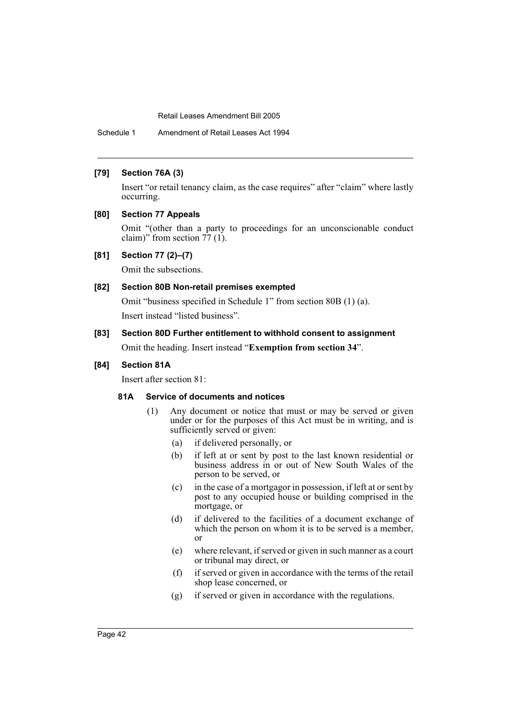Schedule 1 Amendment of Retail Leases Act 1994

## **[79] Section 76A (3)**

Insert "or retail tenancy claim, as the case requires" after "claim" where lastly occurring.

## **[80] Section 77 Appeals**

Omit "(other than a party to proceedings for an unconscionable conduct claim)" from section 77 (1).

## **[81] Section 77 (2)–(7)**

Omit the subsections.

## **[82] Section 80B Non-retail premises exempted**

Omit "business specified in Schedule 1" from section 80B (1) (a). Insert instead "listed business".

**[83] Section 80D Further entitlement to withhold consent to assignment** Omit the heading. Insert instead "**Exemption from section 34**".

## **[84] Section 81A**

Insert after section 81:

#### **81A Service of documents and notices**

- (1) Any document or notice that must or may be served or given under or for the purposes of this Act must be in writing, and is sufficiently served or given:
	- (a) if delivered personally, or
	- (b) if left at or sent by post to the last known residential or business address in or out of New South Wales of the person to be served, or
	- (c) in the case of a mortgagor in possession, if left at or sent by post to any occupied house or building comprised in the mortgage, or
	- (d) if delivered to the facilities of a document exchange of which the person on whom it is to be served is a member, or
	- (e) where relevant, if served or given in such manner as a court or tribunal may direct, or
	- (f) if served or given in accordance with the terms of the retail shop lease concerned, or
	- (g) if served or given in accordance with the regulations.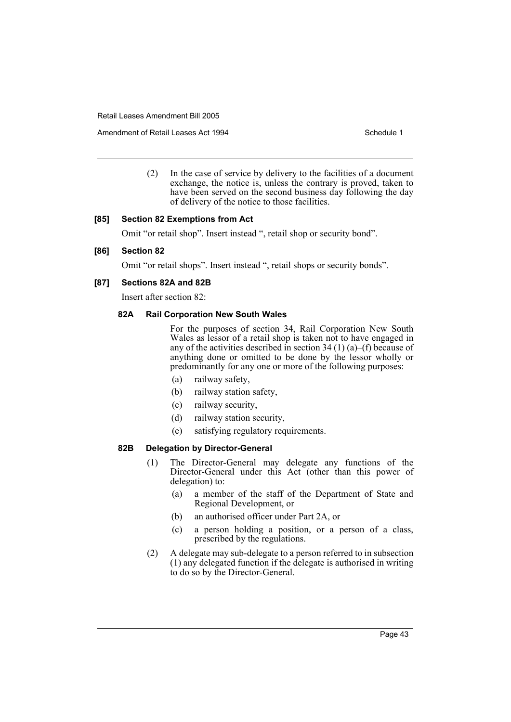Amendment of Retail Leases Act 1994 Schedule 1

(2) In the case of service by delivery to the facilities of a document exchange, the notice is, unless the contrary is proved, taken to have been served on the second business day following the day of delivery of the notice to those facilities.

## **[85] Section 82 Exemptions from Act**

Omit "or retail shop". Insert instead ", retail shop or security bond".

## **[86] Section 82**

Omit "or retail shops". Insert instead ", retail shops or security bonds".

## **[87] Sections 82A and 82B**

Insert after section 82:

## **82A Rail Corporation New South Wales**

For the purposes of section 34, Rail Corporation New South Wales as lessor of a retail shop is taken not to have engaged in any of the activities described in section 34 (1) (a)–(f) because of anything done or omitted to be done by the lessor wholly or predominantly for any one or more of the following purposes:

- (a) railway safety,
- (b) railway station safety,
- (c) railway security,
- (d) railway station security,
- (e) satisfying regulatory requirements.

#### **82B Delegation by Director-General**

- (1) The Director-General may delegate any functions of the Director-General under this Act (other than this power of delegation) to:
	- (a) a member of the staff of the Department of State and Regional Development, or
	- (b) an authorised officer under Part 2A, or
	- (c) a person holding a position, or a person of a class, prescribed by the regulations.
- (2) A delegate may sub-delegate to a person referred to in subsection (1) any delegated function if the delegate is authorised in writing to do so by the Director-General.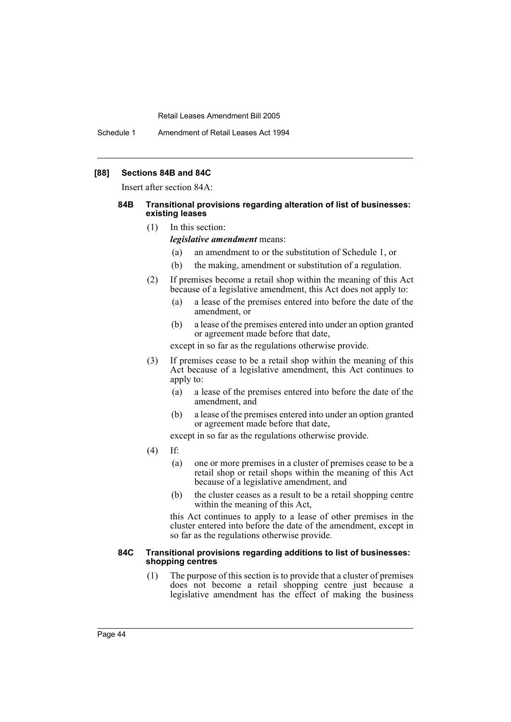Schedule 1 Amendment of Retail Leases Act 1994

## **[88] Sections 84B and 84C**

Insert after section 84A:

#### **84B Transitional provisions regarding alteration of list of businesses: existing leases**

(1) In this section:

*legislative amendment* means:

- (a) an amendment to or the substitution of Schedule 1, or
- (b) the making, amendment or substitution of a regulation.
- (2) If premises become a retail shop within the meaning of this Act because of a legislative amendment, this Act does not apply to:
	- (a) a lease of the premises entered into before the date of the amendment, or
	- (b) a lease of the premises entered into under an option granted or agreement made before that date,

except in so far as the regulations otherwise provide.

- (3) If premises cease to be a retail shop within the meaning of this Act because of a legislative amendment, this Act continues to apply to:
	- (a) a lease of the premises entered into before the date of the amendment, and
	- (b) a lease of the premises entered into under an option granted or agreement made before that date,

except in so far as the regulations otherwise provide.

- (4) If:
	- (a) one or more premises in a cluster of premises cease to be a retail shop or retail shops within the meaning of this Act because of a legislative amendment, and
	- (b) the cluster ceases as a result to be a retail shopping centre within the meaning of this Act,

this Act continues to apply to a lease of other premises in the cluster entered into before the date of the amendment, except in so far as the regulations otherwise provide.

#### **84C Transitional provisions regarding additions to list of businesses: shopping centres**

(1) The purpose of this section is to provide that a cluster of premises does not become a retail shopping centre just because a legislative amendment has the effect of making the business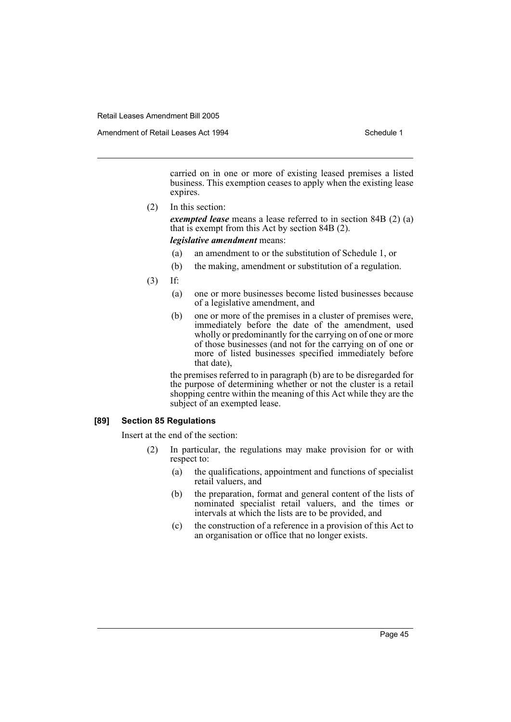Amendment of Retail Leases Act 1994 Schedule 1

carried on in one or more of existing leased premises a listed business. This exemption ceases to apply when the existing lease expires.

(2) In this section:

*exempted lease* means a lease referred to in section 84B (2) (a) that is exempt from this Act by section 84B (2).

#### *legislative amendment* means:

- (a) an amendment to or the substitution of Schedule 1, or
- (b) the making, amendment or substitution of a regulation.
- (3) If:
	- (a) one or more businesses become listed businesses because of a legislative amendment, and
	- (b) one or more of the premises in a cluster of premises were, immediately before the date of the amendment, used wholly or predominantly for the carrying on of one or more of those businesses (and not for the carrying on of one or more of listed businesses specified immediately before that date),

the premises referred to in paragraph (b) are to be disregarded for the purpose of determining whether or not the cluster is a retail shopping centre within the meaning of this Act while they are the subject of an exempted lease.

## **[89] Section 85 Regulations**

Insert at the end of the section:

- (2) In particular, the regulations may make provision for or with respect to:
	- (a) the qualifications, appointment and functions of specialist retail valuers, and
	- (b) the preparation, format and general content of the lists of nominated specialist retail valuers, and the times or intervals at which the lists are to be provided, and
	- (c) the construction of a reference in a provision of this Act to an organisation or office that no longer exists.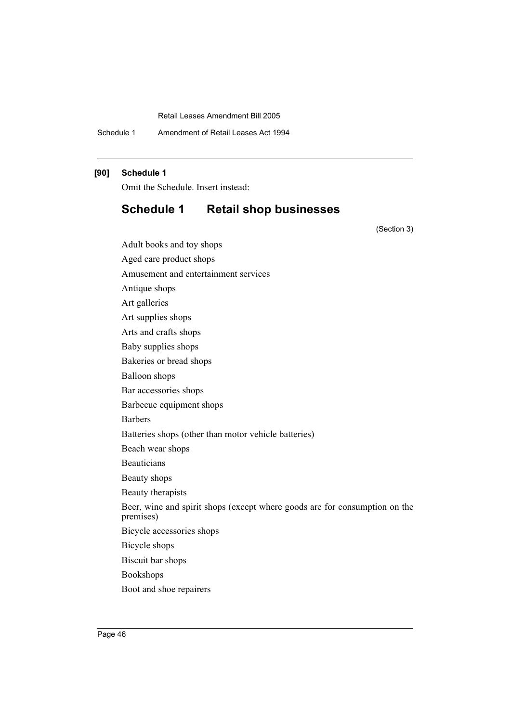Schedule 1 Amendment of Retail Leases Act 1994

## **[90] Schedule 1**

Omit the Schedule. Insert instead:

Adult books and toy shops

# **Schedule 1 Retail shop businesses**

(Section 3)

Aged care product shops Amusement and entertainment services Antique shops Art galleries Art supplies shops Arts and crafts shops Baby supplies shops Bakeries or bread shops Balloon shops Bar accessories shops Barbecue equipment shops Barbers Batteries shops (other than motor vehicle batteries) Beach wear shops Beauticians Beauty shops Beauty therapists Beer, wine and spirit shops (except where goods are for consumption on the premises) Bicycle accessories shops Bicycle shops Biscuit bar shops Bookshops

Boot and shoe repairers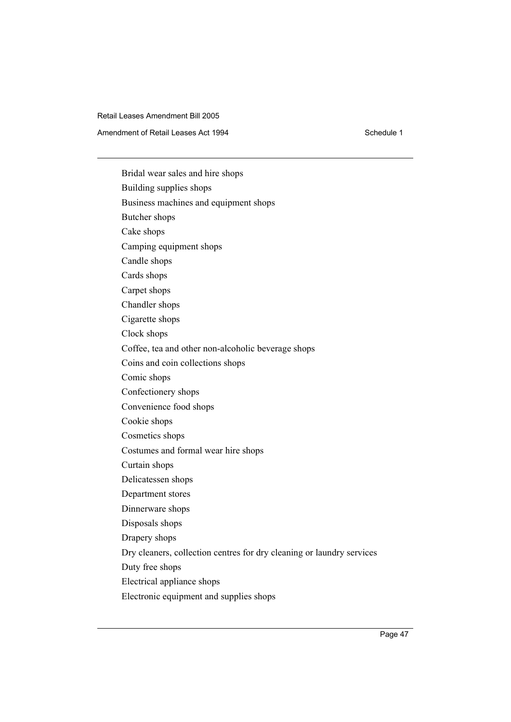Amendment of Retail Leases Act 1994 Schedule 1

Bridal wear sales and hire shops Building supplies shops Business machines and equipment shops Butcher shops Cake shops Camping equipment shops Candle shops Cards shops Carpet shops Chandler shops Cigarette shops Clock shops Coffee, tea and other non-alcoholic beverage shops Coins and coin collections shops Comic shops Confectionery shops Convenience food shops Cookie shops Cosmetics shops Costumes and formal wear hire shops Curtain shops Delicatessen shops Department stores Dinnerware shops Disposals shops Drapery shops Dry cleaners, collection centres for dry cleaning or laundry services Duty free shops Electrical appliance shops Electronic equipment and supplies shops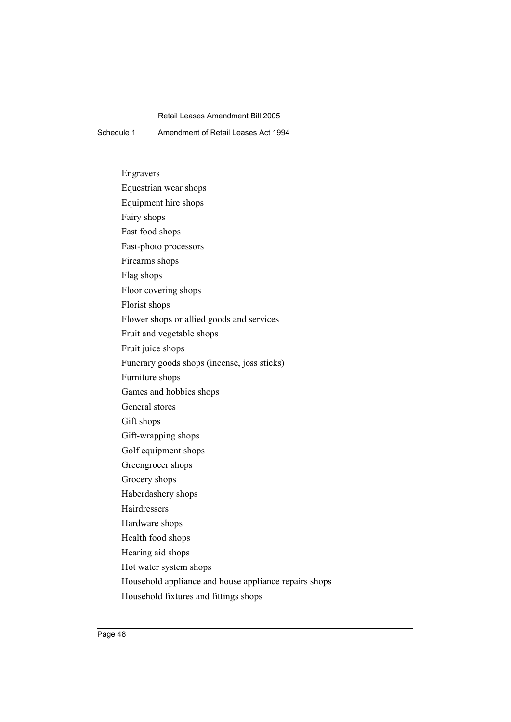Schedule 1 Amendment of Retail Leases Act 1994

Engravers Equestrian wear shops Equipment hire shops Fairy shops Fast food shops Fast-photo processors Firearms shops Flag shops Floor covering shops Florist shops Flower shops or allied goods and services Fruit and vegetable shops Fruit juice shops Funerary goods shops (incense, joss sticks) Furniture shops Games and hobbies shops General stores Gift shops Gift-wrapping shops Golf equipment shops Greengrocer shops Grocery shops Haberdashery shops Hairdressers Hardware shops Health food shops Hearing aid shops Hot water system shops Household appliance and house appliance repairs shops Household fixtures and fittings shops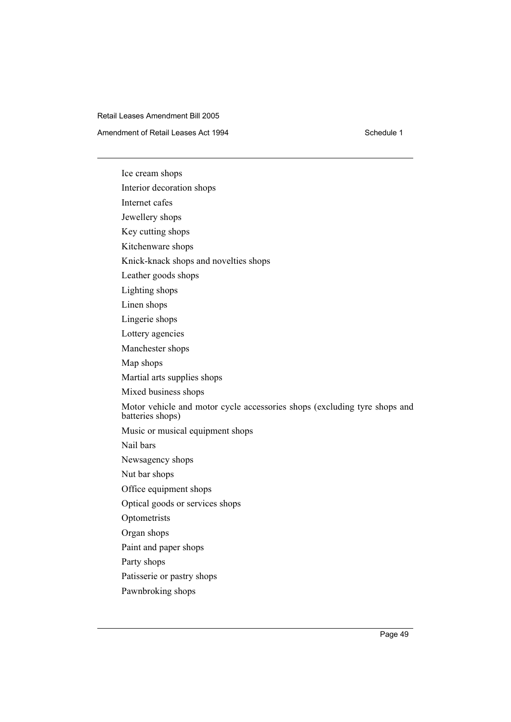Amendment of Retail Leases Act 1994 Schedule 1

Ice cream shops Interior decoration shops Internet cafes Jewellery shops Key cutting shops Kitchenware shops Knick-knack shops and novelties shops Leather goods shops Lighting shops Linen shops Lingerie shops Lottery agencies Manchester shops Map shops Martial arts supplies shops Mixed business shops Motor vehicle and motor cycle accessories shops (excluding tyre shops and batteries shops) Music or musical equipment shops Nail bars Newsagency shops Nut bar shops Office equipment shops Optical goods or services shops Optometrists Organ shops Paint and paper shops Party shops Patisserie or pastry shops Pawnbroking shops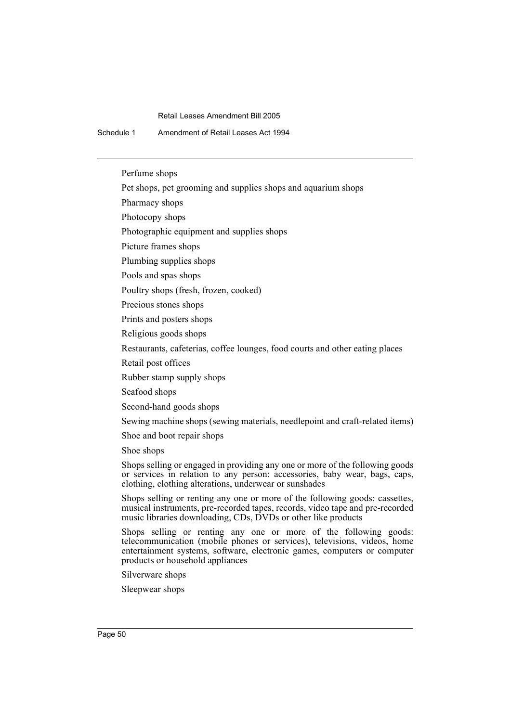Schedule 1 Amendment of Retail Leases Act 1994

Perfume shops

Pet shops, pet grooming and supplies shops and aquarium shops

Pharmacy shops

Photocopy shops

Photographic equipment and supplies shops

Picture frames shops

Plumbing supplies shops

Pools and spas shops

Poultry shops (fresh, frozen, cooked)

Precious stones shops

Prints and posters shops

Religious goods shops

Restaurants, cafeterias, coffee lounges, food courts and other eating places

Retail post offices

Rubber stamp supply shops

Seafood shops

Second-hand goods shops

Sewing machine shops (sewing materials, needlepoint and craft-related items)

Shoe and boot repair shops

Shoe shops

Shops selling or engaged in providing any one or more of the following goods or services in relation to any person: accessories, baby wear, bags, caps, clothing, clothing alterations, underwear or sunshades

Shops selling or renting any one or more of the following goods: cassettes, musical instruments, pre-recorded tapes, records, video tape and pre-recorded music libraries downloading, CDs, DVDs or other like products

Shops selling or renting any one or more of the following goods: telecommunication (mobile phones or services), televisions, videos, home entertainment systems, software, electronic games, computers or computer products or household appliances

Silverware shops

Sleepwear shops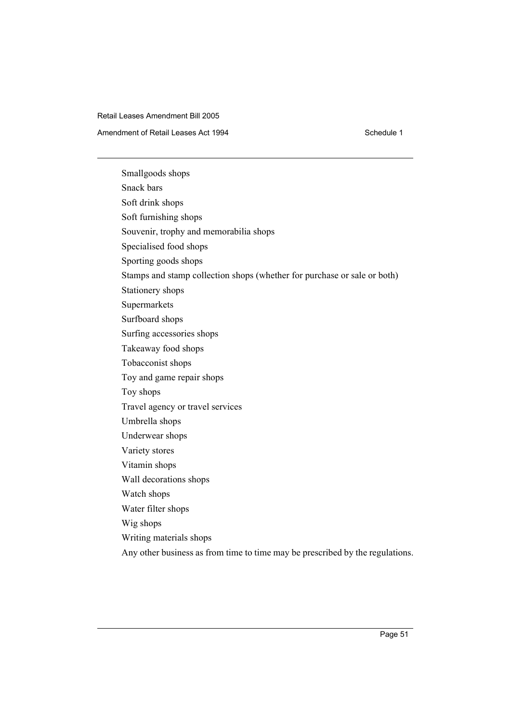Amendment of Retail Leases Act 1994 Schedule 1

Smallgoods shops Snack bars Soft drink shops Soft furnishing shops Souvenir, trophy and memorabilia shops Specialised food shops Sporting goods shops Stamps and stamp collection shops (whether for purchase or sale or both) Stationery shops Supermarkets Surfboard shops Surfing accessories shops Takeaway food shops Tobacconist shops Toy and game repair shops Toy shops Travel agency or travel services Umbrella shops Underwear shops Variety stores Vitamin shops Wall decorations shops Watch shops Water filter shops Wig shops Writing materials shops

Any other business as from time to time may be prescribed by the regulations.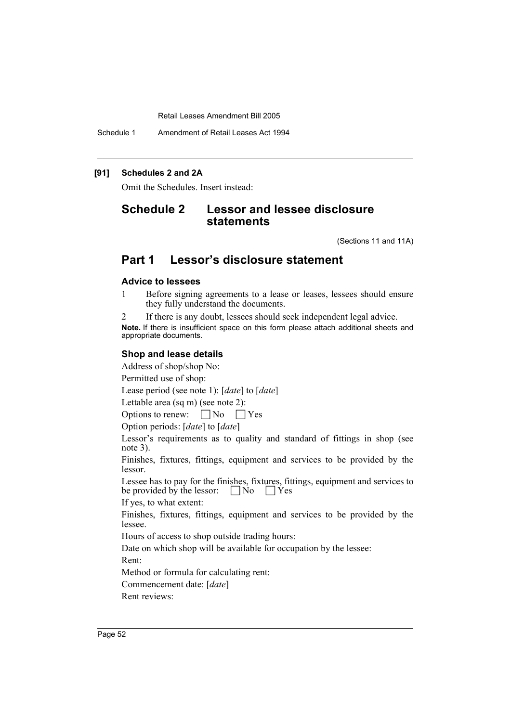Schedule 1 Amendment of Retail Leases Act 1994

## **[91] Schedules 2 and 2A**

Omit the Schedules. Insert instead:

# **Schedule 2 Lessor and lessee disclosure statements**

(Sections 11 and 11A)

# **Part 1 Lessor's disclosure statement**

## **Advice to lessees**

1 Before signing agreements to a lease or leases, lessees should ensure they fully understand the documents.

2 If there is any doubt, lessees should seek independent legal advice. **Note.** If there is insufficient space on this form please attach additional sheets and appropriate documents.

## **Shop and lease details**

Address of shop/shop No:

Permitted use of shop:

Lease period (see note 1): [*date*] to [*date*]

Lettable area (sq m) (see note 2):

Options to renew:  $\Box$  No  $\Box$  Yes

Option periods: [*date*] to [*date*]

Lessor's requirements as to quality and standard of fittings in shop (see note 3).

Finishes, fixtures, fittings, equipment and services to be provided by the lessor.

Lessee has to pay for the finishes, fixtures, fittings, equipment and services to be provided by the lessor:  $\Box$  No  $\Box$  Yes

If yes, to what extent:

Finishes, fixtures, fittings, equipment and services to be provided by the lessee.

Hours of access to shop outside trading hours:

Date on which shop will be available for occupation by the lessee: Rent:

Method or formula for calculating rent: Commencement date: [*date*]

Rent reviews: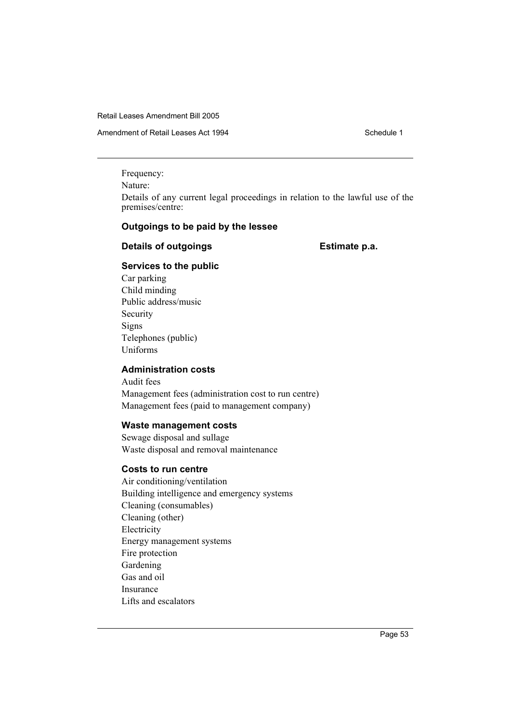Amendment of Retail Leases Act 1994 Schedule 1

Frequency:

Nature:

Details of any current legal proceedings in relation to the lawful use of the premises/centre:

## **Outgoings to be paid by the lessee**

## **Details of outgoings Estimate p.a.**

## **Services to the public**

Car parking Child minding Public address/music Security Signs Telephones (public) Uniforms

## **Administration costs**

Audit fees Management fees (administration cost to run centre) Management fees (paid to management company)

## **Waste management costs**

Sewage disposal and sullage Waste disposal and removal maintenance

## **Costs to run centre**

Air conditioning/ventilation Building intelligence and emergency systems Cleaning (consumables) Cleaning (other) Electricity Energy management systems Fire protection Gardening Gas and oil Insurance Lifts and escalators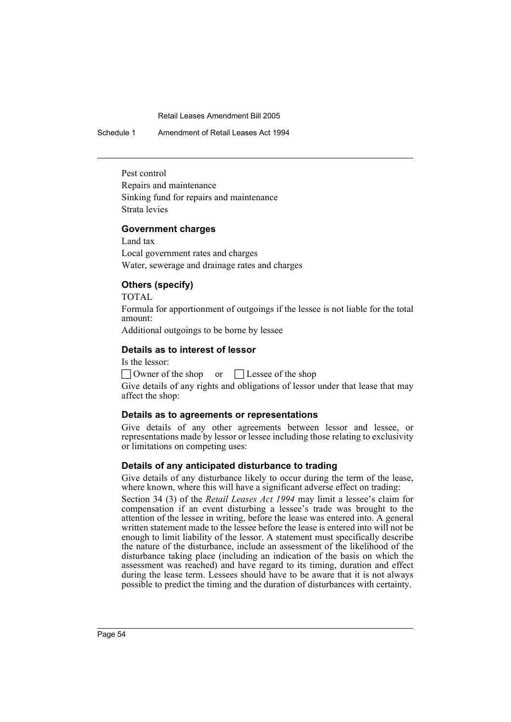Schedule 1 Amendment of Retail Leases Act 1994

Pest control Repairs and maintenance Sinking fund for repairs and maintenance Strata levies

## **Government charges**

Land tax Local government rates and charges Water, sewerage and drainage rates and charges

## **Others (specify)**

TOTAL

Formula for apportionment of outgoings if the lessee is not liable for the total amount:

Additional outgoings to be borne by lessee

## **Details as to interest of lessor**

Is the lessor:

 $\Box$  Owner of the shop or  $\Box$  Lessee of the shop Give details of any rights and obligations of lessor under that lease that may affect the shop:

## **Details as to agreements or representations**

Give details of any other agreements between lessor and lessee, or representations made by lessor or lessee including those relating to exclusivity or limitations on competing uses:

## **Details of any anticipated disturbance to trading**

Give details of any disturbance likely to occur during the term of the lease, where known, where this will have a significant adverse effect on trading:

Section 34 (3) of the *Retail Leases Act 1994* may limit a lessee's claim for compensation if an event disturbing a lessee's trade was brought to the attention of the lessee in writing, before the lease was entered into. A general written statement made to the lessee before the lease is entered into will not be enough to limit liability of the lessor. A statement must specifically describe the nature of the disturbance, include an assessment of the likelihood of the disturbance taking place (including an indication of the basis on which the assessment was reached) and have regard to its timing, duration and effect during the lease term. Lessees should have to be aware that it is not always possible to predict the timing and the duration of disturbances with certainty.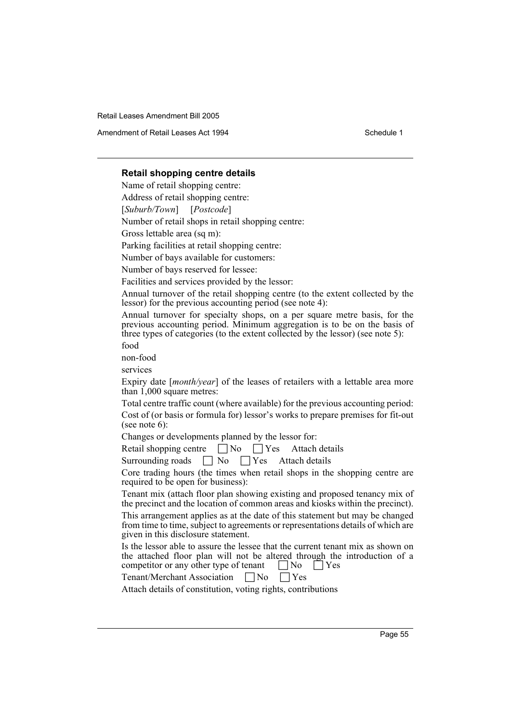Amendment of Retail Leases Act 1994 **Schedule 1** Schedule 1

## **Retail shopping centre details**

Name of retail shopping centre:

Address of retail shopping centre:

[*Suburb/Town*] [*Postcode*]

Number of retail shops in retail shopping centre:

Gross lettable area (sq m):

Parking facilities at retail shopping centre:

Number of bays available for customers:

Number of bays reserved for lessee:

Facilities and services provided by the lessor:

Annual turnover of the retail shopping centre (to the extent collected by the lessor) for the previous accounting period (see note 4):

Annual turnover for specialty shops, on a per square metre basis, for the previous accounting period. Minimum aggregation is to be on the basis of three types of categories (to the extent collected by the lessor) (see note 5):

food

non-food

services

Expiry date [*month/year*] of the leases of retailers with a lettable area more than 1,000 square metres:

Total centre traffic count (where available) for the previous accounting period: Cost of (or basis or formula for) lessor's works to prepare premises for fit-out (see note 6):

Changes or developments planned by the lessor for:

Retail shopping centre  $\Box$  No  $\Box$  Yes Attach details

Surrounding roads  $\Box$  No  $\Box$  Yes Attach details

Core trading hours (the times when retail shops in the shopping centre are required to be open for business):

Tenant mix (attach floor plan showing existing and proposed tenancy mix of the precinct and the location of common areas and kiosks within the precinct).

This arrangement applies as at the date of this statement but may be changed from time to time, subject to agreements or representations details of which are given in this disclosure statement.

Is the lessor able to assure the lessee that the current tenant mix as shown on the attached floor plan will not be altered through the introduction of a competitor or any other type of tenant  $\Box$  No  $\Box$  Yes

| <b>Tenant/Merchant Association</b> | $\Box$ No | $\Box$ Yes |
|------------------------------------|-----------|------------|
|------------------------------------|-----------|------------|

Attach details of constitution, voting rights, contributions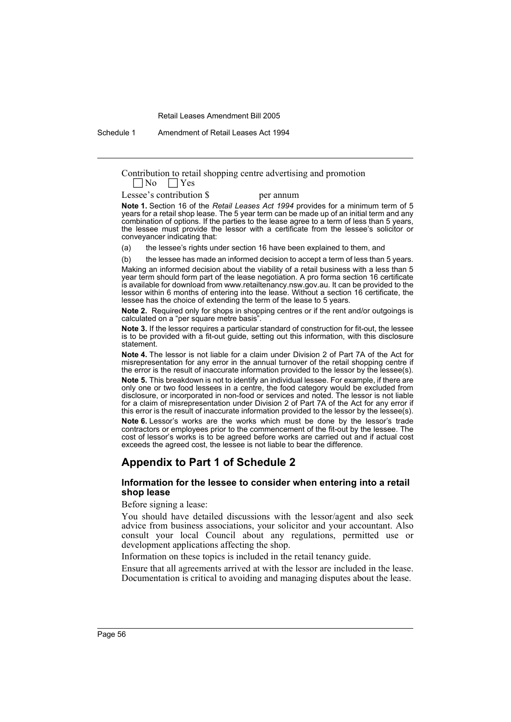Schedule 1 Amendment of Retail Leases Act 1994

Contribution to retail shopping centre advertising and promotion  $\Box$  No  $\Box$  Yes  $\Box$  Yes

Lessee's contribution \$ per annum

**Note 1.** Section 16 of the *Retail Leases Act 1994* provides for a minimum term of 5 years for a retail shop lease. The 5 year term can be made up of an initial term and any combination of options. If the parties to the lease agree to a term of less than 5 years, the lessee must provide the lessor with a certificate from the lessee's solicitor or conveyancer indicating that:

(a) the lessee's rights under section 16 have been explained to them, and

(b) the lessee has made an informed decision to accept a term of less than 5 years.

Making an informed decision about the viability of a retail business with a less than 5 year term should form part of the lease negotiation. A pro forma section 16 certificate is available for download from www.retailtenancy.nsw.gov.au. It can be provided to the lessor within 6 months of entering into the lease. Without a section 16 certificate, the lessee has the choice of extending the term of the lease to 5 years.

**Note 2.** Required only for shops in shopping centres or if the rent and/or outgoings is calculated on a "per square metre basis".

**Note 3.** If the lessor requires a particular standard of construction for fit-out, the lessee is to be provided with a fit-out guide, setting out this information, with this disclosure statement.

**Note 4.** The lessor is not liable for a claim under Division 2 of Part 7A of the Act for misrepresentation for any error in the annual turnover of the retail shopping centre if the error is the result of inaccurate information provided to the lessor by the lessee(s).

**Note 5.** This breakdown is not to identify an individual lessee. For example, if there are only one or two food lessees in a centre, the food category would be excluded from disclosure, or incorporated in non-food or services and noted. The lessor is not liable for a claim of misrepresentation under Division 2 of Part 7A of the Act for any error if this error is the result of inaccurate information provided to the lessor by the lessee(s).

**Note 6.** Lessor's works are the works which must be done by the lessor's trade contractors or employees prior to the commencement of the fit-out by the lessee. The cost of lessor's works is to be agreed before works are carried out and if actual cost exceeds the agreed cost, the lessee is not liable to bear the difference.

# **Appendix to Part 1 of Schedule 2**

#### **Information for the lessee to consider when entering into a retail shop lease**

Before signing a lease:

You should have detailed discussions with the lessor/agent and also seek advice from business associations, your solicitor and your accountant. Also consult your local Council about any regulations, permitted use or development applications affecting the shop.

Information on these topics is included in the retail tenancy guide.

Ensure that all agreements arrived at with the lessor are included in the lease. Documentation is critical to avoiding and managing disputes about the lease.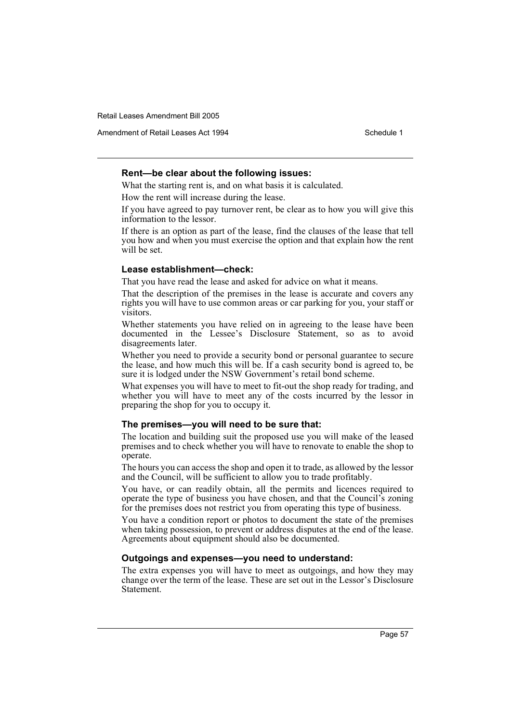Amendment of Retail Leases Act 1994 Schedule 1

## **Rent—be clear about the following issues:**

What the starting rent is, and on what basis it is calculated.

How the rent will increase during the lease.

If you have agreed to pay turnover rent, be clear as to how you will give this information to the lessor.

If there is an option as part of the lease, find the clauses of the lease that tell you how and when you must exercise the option and that explain how the rent will be set.

## **Lease establishment—check:**

That you have read the lease and asked for advice on what it means.

That the description of the premises in the lease is accurate and covers any rights you will have to use common areas or car parking for you, your staff or visitors.

Whether statements you have relied on in agreeing to the lease have been documented in the Lessee's Disclosure Statement, so as to avoid disagreements later.

Whether you need to provide a security bond or personal guarantee to secure the lease, and how much this will be. If a cash security bond is agreed to, be sure it is lodged under the NSW Government's retail bond scheme.

What expenses you will have to meet to fit-out the shop ready for trading, and whether you will have to meet any of the costs incurred by the lessor in preparing the shop for you to occupy it.

#### **The premises—you will need to be sure that:**

The location and building suit the proposed use you will make of the leased premises and to check whether you will have to renovate to enable the shop to operate.

The hours you can access the shop and open it to trade, as allowed by the lessor and the Council, will be sufficient to allow you to trade profitably.

You have, or can readily obtain, all the permits and licences required to operate the type of business you have chosen, and that the Council's zoning for the premises does not restrict you from operating this type of business.

You have a condition report or photos to document the state of the premises when taking possession, to prevent or address disputes at the end of the lease. Agreements about equipment should also be documented.

## **Outgoings and expenses—you need to understand:**

The extra expenses you will have to meet as outgoings, and how they may change over the term of the lease. These are set out in the Lessor's Disclosure **Statement**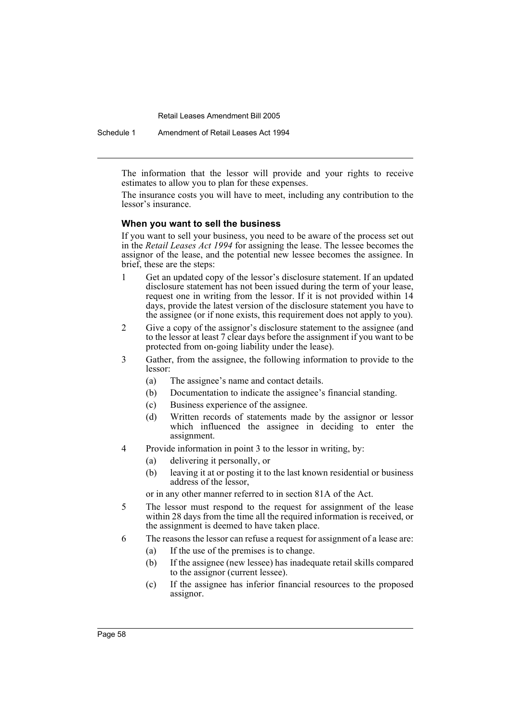Schedule 1 Amendment of Retail Leases Act 1994

The information that the lessor will provide and your rights to receive estimates to allow you to plan for these expenses.

The insurance costs you will have to meet, including any contribution to the lessor's insurance.

#### **When you want to sell the business**

If you want to sell your business, you need to be aware of the process set out in the *Retail Leases Act 1994* for assigning the lease. The lessee becomes the assignor of the lease, and the potential new lessee becomes the assignee. In brief, these are the steps:

- 1 Get an updated copy of the lessor's disclosure statement. If an updated disclosure statement has not been issued during the term of your lease, request one in writing from the lessor. If it is not provided within 14 days, provide the latest version of the disclosure statement you have to the assignee (or if none exists, this requirement does not apply to you).
- 2 Give a copy of the assignor's disclosure statement to the assignee (and to the lessor at least 7 clear days before the assignment if you want to be protected from on-going liability under the lease).
- 3 Gather, from the assignee, the following information to provide to the lessor:
	- (a) The assignee's name and contact details.
	- (b) Documentation to indicate the assignee's financial standing.
	- (c) Business experience of the assignee.
	- (d) Written records of statements made by the assignor or lessor which influenced the assignee in deciding to enter the assignment.
- 4 Provide information in point 3 to the lessor in writing, by:
	- (a) delivering it personally, or
	- (b) leaving it at or posting it to the last known residential or business address of the lessor,

or in any other manner referred to in section 81A of the Act.

- 5 The lessor must respond to the request for assignment of the lease within 28 days from the time all the required information is received, or the assignment is deemed to have taken place.
- 6 The reasons the lessor can refuse a request for assignment of a lease are:
	- (a) If the use of the premises is to change.
	- (b) If the assignee (new lessee) has inadequate retail skills compared to the assignor (current lessee).
	- (c) If the assignee has inferior financial resources to the proposed assignor.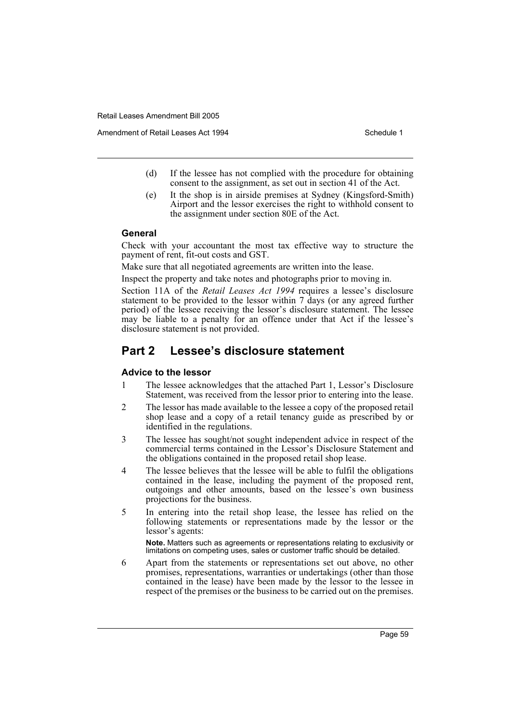Amendment of Retail Leases Act 1994 Schedule 1

- (d) If the lessee has not complied with the procedure for obtaining consent to the assignment, as set out in section 41 of the Act.
- (e) It the shop is in airside premises at Sydney (Kingsford-Smith) Airport and the lessor exercises the right to withhold consent to the assignment under section 80E of the Act.

#### **General**

Check with your accountant the most tax effective way to structure the payment of rent, fit-out costs and GST.

Make sure that all negotiated agreements are written into the lease.

Inspect the property and take notes and photographs prior to moving in.

Section 11A of the *Retail Leases Act 1994* requires a lessee's disclosure statement to be provided to the lessor within 7 days (or any agreed further period) of the lessee receiving the lessor's disclosure statement. The lessee may be liable to a penalty for an offence under that Act if the lessee's disclosure statement is not provided.

## **Part 2 Lessee's disclosure statement**

#### **Advice to the lessor**

- 1 The lessee acknowledges that the attached Part 1, Lessor's Disclosure Statement, was received from the lessor prior to entering into the lease.
- 2 The lessor has made available to the lessee a copy of the proposed retail shop lease and a copy of a retail tenancy guide as prescribed by or identified in the regulations.
- 3 The lessee has sought/not sought independent advice in respect of the commercial terms contained in the Lessor's Disclosure Statement and the obligations contained in the proposed retail shop lease.
- 4 The lessee believes that the lessee will be able to fulfil the obligations contained in the lease, including the payment of the proposed rent, outgoings and other amounts, based on the lessee's own business projections for the business.
- 5 In entering into the retail shop lease, the lessee has relied on the following statements or representations made by the lessor or the lessor's agents:

**Note.** Matters such as agreements or representations relating to exclusivity or limitations on competing uses, sales or customer traffic should be detailed.

6 Apart from the statements or representations set out above, no other promises, representations, warranties or undertakings (other than those contained in the lease) have been made by the lessor to the lessee in respect of the premises or the business to be carried out on the premises.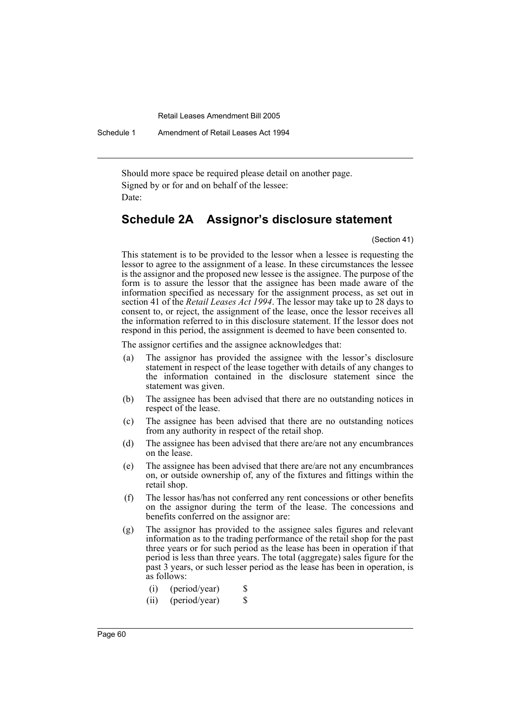Schedule 1 Amendment of Retail Leases Act 1994

Should more space be required please detail on another page. Signed by or for and on behalf of the lessee: Date:

# **Schedule 2A Assignor's disclosure statement**

(Section 41)

This statement is to be provided to the lessor when a lessee is requesting the lessor to agree to the assignment of a lease. In these circumstances the lessee is the assignor and the proposed new lessee is the assignee. The purpose of the form is to assure the lessor that the assignee has been made aware of the information specified as necessary for the assignment process, as set out in section 41 of the *Retail Leases Act 1994*. The lessor may take up to 28 days to consent to, or reject, the assignment of the lease, once the lessor receives all the information referred to in this disclosure statement. If the lessor does not respond in this period, the assignment is deemed to have been consented to.

The assignor certifies and the assignee acknowledges that:

- (a) The assignor has provided the assignee with the lessor's disclosure statement in respect of the lease together with details of any changes to the information contained in the disclosure statement since the statement was given.
- (b) The assignee has been advised that there are no outstanding notices in respect of the lease.
- (c) The assignee has been advised that there are no outstanding notices from any authority in respect of the retail shop.
- (d) The assignee has been advised that there are/are not any encumbrances on the lease.
- (e) The assignee has been advised that there are/are not any encumbrances on, or outside ownership of, any of the fixtures and fittings within the retail shop.
- (f) The lessor has/has not conferred any rent concessions or other benefits on the assignor during the term of the lease. The concessions and benefits conferred on the assignor are:
- (g) The assignor has provided to the assignee sales figures and relevant information as to the trading performance of the retail shop for the past three years or for such period as the lease has been in operation if that period is less than three years. The total (aggregate) sales figure for the past 3 years, or such lesser period as the lease has been in operation, is as follows:
	- $(i)$  (period/year) \$
	- (ii) (period/year) \$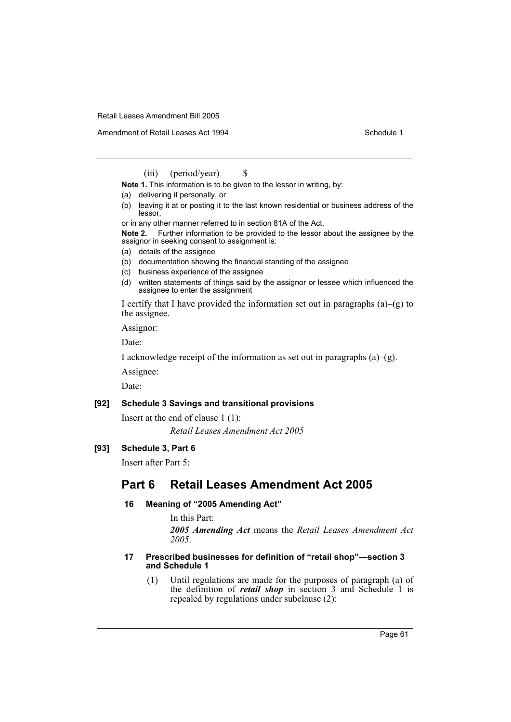Amendment of Retail Leases Act 1994 Schedule 1

(iii) (period/year)  $\$\$ 

**Note 1.** This information is to be given to the lessor in writing, by:

- (a) delivering it personally, or
- (b) leaving it at or posting it to the last known residential or business address of the lessor,

or in any other manner referred to in section 81A of the Act.

**Note 2.** Further information to be provided to the lessor about the assignee by the assignor in seeking consent to assignment is:

- (a) details of the assignee
- (b) documentation showing the financial standing of the assignee
- (c) business experience of the assignee
- (d) written statements of things said by the assignor or lessee which influenced the assignee to enter the assignment

I certify that I have provided the information set out in paragraphs  $(a)$ – $(g)$  to the assignee.

Assignor:

Date:

I acknowledge receipt of the information as set out in paragraphs  $(a)$ – $(g)$ .

Assignee:

Date:

#### **[92] Schedule 3 Savings and transitional provisions**

Insert at the end of clause 1 (1):

*Retail Leases Amendment Act 2005*

## **[93] Schedule 3, Part 6**

Insert after Part 5:

# **Part 6 Retail Leases Amendment Act 2005**

## **16 Meaning of "2005 Amending Act"**

In this Part: *2005 Amending Act* means the *Retail Leases Amendment Act 2005*.

#### **17 Prescribed businesses for definition of "retail shop"—section 3 and Schedule 1**

(1) Until regulations are made for the purposes of paragraph (a) of the definition of *retail shop* in section 3 and Schedule 1 is repealed by regulations under subclause (2):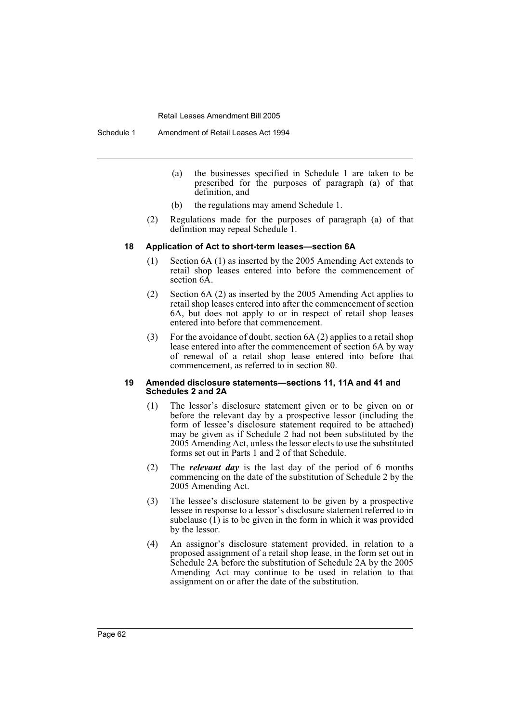Schedule 1 Amendment of Retail Leases Act 1994

- (a) the businesses specified in Schedule 1 are taken to be prescribed for the purposes of paragraph (a) of that definition, and
- (b) the regulations may amend Schedule 1.
- (2) Regulations made for the purposes of paragraph (a) of that definition may repeal Schedule 1.

#### **18 Application of Act to short-term leases—section 6A**

- (1) Section 6A (1) as inserted by the 2005 Amending Act extends to retail shop leases entered into before the commencement of section  $6\overline{A}$ .
- (2) Section 6A (2) as inserted by the 2005 Amending Act applies to retail shop leases entered into after the commencement of section 6A, but does not apply to or in respect of retail shop leases entered into before that commencement.
- (3) For the avoidance of doubt, section 6A (2) applies to a retail shop lease entered into after the commencement of section 6A by way of renewal of a retail shop lease entered into before that commencement, as referred to in section 80.

#### **19 Amended disclosure statements—sections 11, 11A and 41 and Schedules 2 and 2A**

- (1) The lessor's disclosure statement given or to be given on or before the relevant day by a prospective lessor (including the form of lessee's disclosure statement required to be attached) may be given as if Schedule 2 had not been substituted by the 2005 Amending Act, unless the lessor elects to use the substituted forms set out in Parts 1 and 2 of that Schedule.
- (2) The *relevant day* is the last day of the period of 6 months commencing on the date of the substitution of Schedule 2 by the 2005 Amending Act.
- (3) The lessee's disclosure statement to be given by a prospective lessee in response to a lessor's disclosure statement referred to in subclause  $(1)$  is to be given in the form in which it was provided by the lessor.
- (4) An assignor's disclosure statement provided, in relation to a proposed assignment of a retail shop lease, in the form set out in Schedule 2A before the substitution of Schedule 2A by the 2005 Amending Act may continue to be used in relation to that assignment on or after the date of the substitution.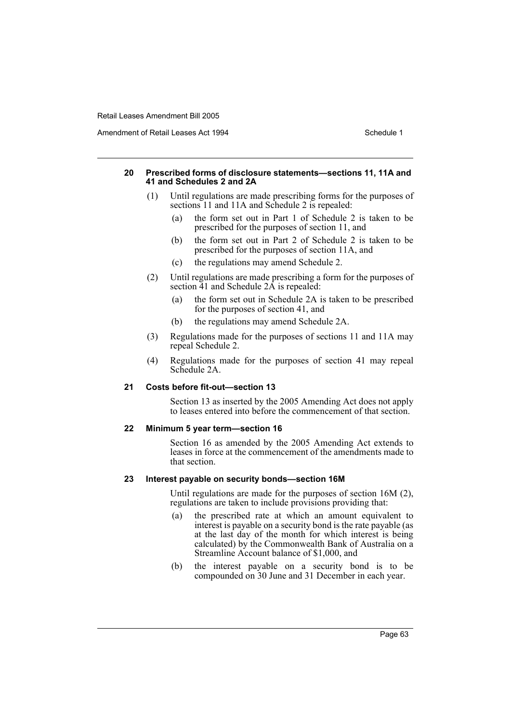Amendment of Retail Leases Act 1994 Schedule 1

#### **20 Prescribed forms of disclosure statements—sections 11, 11A and 41 and Schedules 2 and 2A**

- (1) Until regulations are made prescribing forms for the purposes of sections 11 and 11A and Schedule 2 is repealed:
	- (a) the form set out in Part 1 of Schedule 2 is taken to be prescribed for the purposes of section 11, and
	- (b) the form set out in Part 2 of Schedule 2 is taken to be prescribed for the purposes of section 11A, and
	- (c) the regulations may amend Schedule 2.
- (2) Until regulations are made prescribing a form for the purposes of section  $\overline{41}$  and Schedule  $2\overline{A}$  is repealed:
	- (a) the form set out in Schedule 2A is taken to be prescribed for the purposes of section 41, and
	- (b) the regulations may amend Schedule 2A.
- (3) Regulations made for the purposes of sections 11 and 11A may repeal Schedule 2.
- (4) Regulations made for the purposes of section 41 may repeal Schedule 2A.

#### **21 Costs before fit-out—section 13**

Section 13 as inserted by the 2005 Amending Act does not apply to leases entered into before the commencement of that section.

#### **22 Minimum 5 year term—section 16**

Section 16 as amended by the 2005 Amending Act extends to leases in force at the commencement of the amendments made to that section.

#### **23 Interest payable on security bonds—section 16M**

Until regulations are made for the purposes of section 16M (2), regulations are taken to include provisions providing that:

- (a) the prescribed rate at which an amount equivalent to interest is payable on a security bond is the rate payable (as at the last day of the month for which interest is being calculated) by the Commonwealth Bank of Australia on a Streamline Account balance of \$1,000, and
- (b) the interest payable on a security bond is to be compounded on 30 June and 31 December in each year.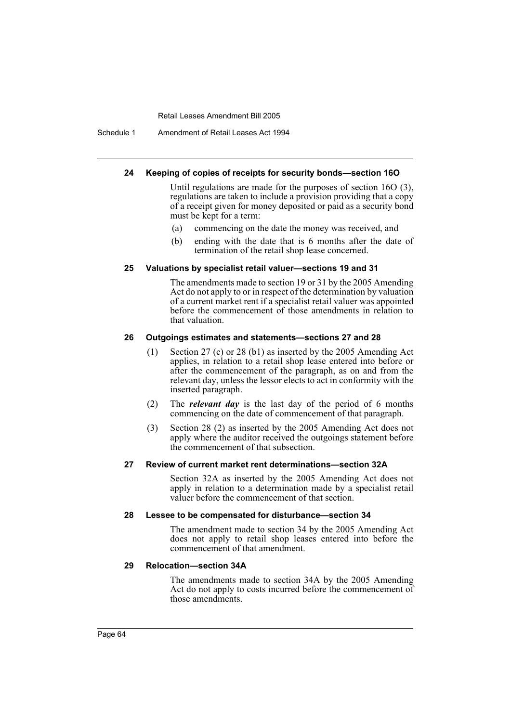Schedule 1 Amendment of Retail Leases Act 1994

#### **24 Keeping of copies of receipts for security bonds—section 16O**

Until regulations are made for the purposes of section 16O (3), regulations are taken to include a provision providing that a copy of a receipt given for money deposited or paid as a security bond must be kept for a term:

- (a) commencing on the date the money was received, and
- (b) ending with the date that is 6 months after the date of termination of the retail shop lease concerned.

## **25 Valuations by specialist retail valuer—sections 19 and 31**

The amendments made to section 19 or 31 by the 2005 Amending Act do not apply to or in respect of the determination by valuation of a current market rent if a specialist retail valuer was appointed before the commencement of those amendments in relation to that valuation.

#### **26 Outgoings estimates and statements—sections 27 and 28**

- (1) Section 27 (c) or 28 (b1) as inserted by the 2005 Amending Act applies, in relation to a retail shop lease entered into before or after the commencement of the paragraph, as on and from the relevant day, unless the lessor elects to act in conformity with the inserted paragraph.
- (2) The *relevant day* is the last day of the period of 6 months commencing on the date of commencement of that paragraph.
- (3) Section 28 (2) as inserted by the 2005 Amending Act does not apply where the auditor received the outgoings statement before the commencement of that subsection.

#### **27 Review of current market rent determinations—section 32A**

Section 32A as inserted by the 2005 Amending Act does not apply in relation to a determination made by a specialist retail valuer before the commencement of that section.

#### **28 Lessee to be compensated for disturbance—section 34**

The amendment made to section 34 by the 2005 Amending Act does not apply to retail shop leases entered into before the commencement of that amendment.

#### **29 Relocation—section 34A**

The amendments made to section 34A by the 2005 Amending Act do not apply to costs incurred before the commencement of those amendments.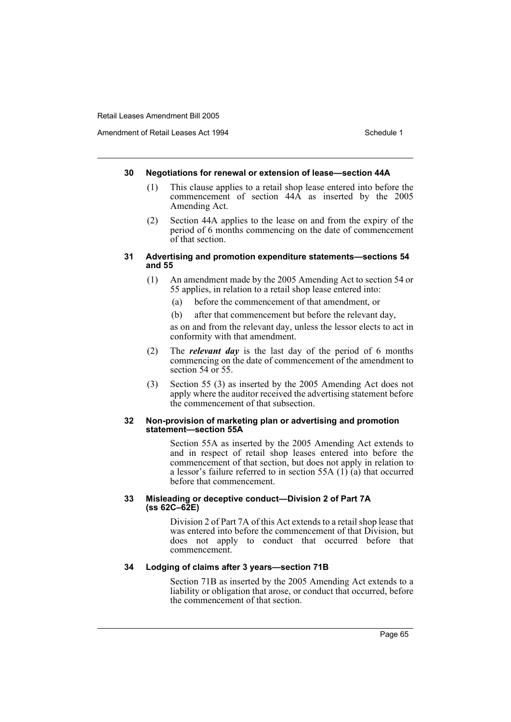Amendment of Retail Leases Act 1994 Schedule 1

#### **30 Negotiations for renewal or extension of lease—section 44A**

- (1) This clause applies to a retail shop lease entered into before the commencement of section 44A as inserted by the 2005 Amending Act.
- (2) Section 44A applies to the lease on and from the expiry of the period of 6 months commencing on the date of commencement of that section.

#### **31 Advertising and promotion expenditure statements—sections 54 and 55**

- (1) An amendment made by the 2005 Amending Act to section 54 or 55 applies, in relation to a retail shop lease entered into:
	- (a) before the commencement of that amendment, or
	- (b) after that commencement but before the relevant day,

as on and from the relevant day, unless the lessor elects to act in conformity with that amendment.

- (2) The *relevant day* is the last day of the period of 6 months commencing on the date of commencement of the amendment to section 54 or 55.
- (3) Section 55 (3) as inserted by the 2005 Amending Act does not apply where the auditor received the advertising statement before the commencement of that subsection.

#### **32 Non-provision of marketing plan or advertising and promotion statement—section 55A**

Section 55A as inserted by the 2005 Amending Act extends to and in respect of retail shop leases entered into before the commencement of that section, but does not apply in relation to a lessor's failure referred to in section 55A  $(1)$  $(a)$  that occurred before that commencement.

#### **33 Misleading or deceptive conduct—Division 2 of Part 7A (ss 62C–62E)**

Division 2 of Part 7A of this Act extends to a retail shop lease that was entered into before the commencement of that Division, but does not apply to conduct that occurred before that commencement.

### **34 Lodging of claims after 3 years—section 71B**

Section 71B as inserted by the 2005 Amending Act extends to a liability or obligation that arose, or conduct that occurred, before the commencement of that section.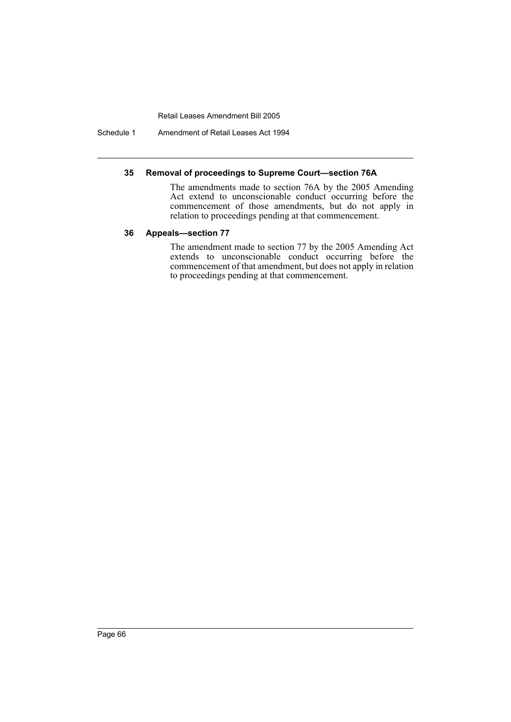Schedule 1 Amendment of Retail Leases Act 1994

## **35 Removal of proceedings to Supreme Court—section 76A**

The amendments made to section 76A by the 2005 Amending Act extend to unconscionable conduct occurring before the commencement of those amendments, but do not apply in relation to proceedings pending at that commencement.

## **36 Appeals—section 77**

The amendment made to section 77 by the 2005 Amending Act extends to unconscionable conduct occurring before the commencement of that amendment, but does not apply in relation to proceedings pending at that commencement.